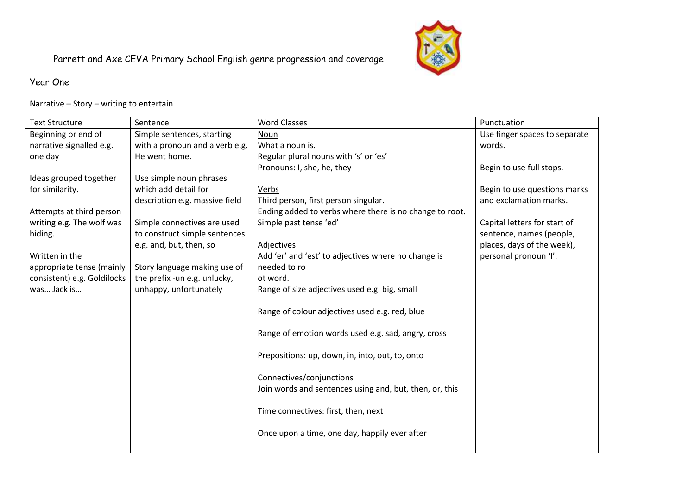

#### Year One

Narrative – Story – writing to entertain

| <b>Text Structure</b>       | Sentence                       | <b>Word Classes</b>                                     | Punctuation                   |
|-----------------------------|--------------------------------|---------------------------------------------------------|-------------------------------|
| Beginning or end of         | Simple sentences, starting     | Noun                                                    | Use finger spaces to separate |
| narrative signalled e.g.    | with a pronoun and a verb e.g. | What a noun is.                                         | words.                        |
| one day                     | He went home.                  | Regular plural nouns with 's' or 'es'                   |                               |
|                             |                                | Pronouns: I, she, he, they                              | Begin to use full stops.      |
| Ideas grouped together      | Use simple noun phrases        |                                                         |                               |
| for similarity.             | which add detail for           | Verbs                                                   | Begin to use questions marks  |
|                             | description e.g. massive field | Third person, first person singular.                    | and exclamation marks.        |
| Attempts at third person    |                                | Ending added to verbs where there is no change to root. |                               |
| writing e.g. The wolf was   | Simple connectives are used    | Simple past tense 'ed'                                  | Capital letters for start of  |
| hiding.                     | to construct simple sentences  |                                                         | sentence, names (people,      |
|                             | e.g. and, but, then, so        | Adjectives                                              | places, days of the week),    |
| Written in the              |                                | Add 'er' and 'est' to adjectives where no change is     | personal pronoun 'I'.         |
| appropriate tense (mainly   | Story language making use of   | needed to ro                                            |                               |
| consistent) e.g. Goldilocks | the prefix -un e.g. unlucky,   | ot word.                                                |                               |
| was Jack is                 | unhappy, unfortunately         | Range of size adjectives used e.g. big, small           |                               |
|                             |                                |                                                         |                               |
|                             |                                | Range of colour adjectives used e.g. red, blue          |                               |
|                             |                                |                                                         |                               |
|                             |                                | Range of emotion words used e.g. sad, angry, cross      |                               |
|                             |                                |                                                         |                               |
|                             |                                | Prepositions: up, down, in, into, out, to, onto         |                               |
|                             |                                |                                                         |                               |
|                             |                                | Connectives/conjunctions                                |                               |
|                             |                                | Join words and sentences using and, but, then, or, this |                               |
|                             |                                |                                                         |                               |
|                             |                                | Time connectives: first, then, next                     |                               |
|                             |                                |                                                         |                               |
|                             |                                | Once upon a time, one day, happily ever after           |                               |
|                             |                                |                                                         |                               |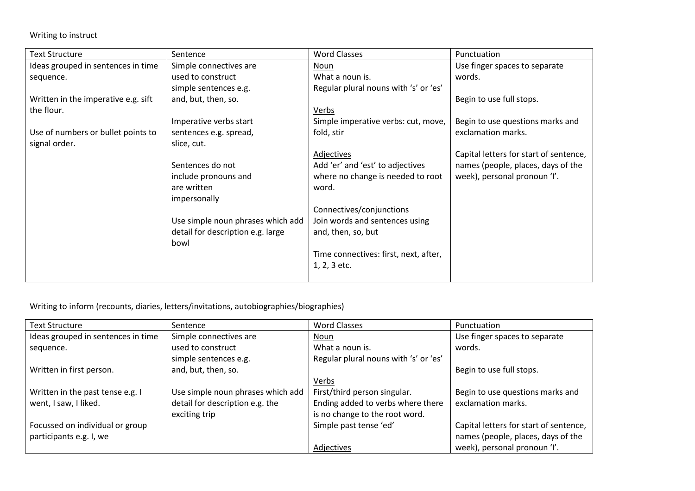Writing to instruct

| <b>Text Structure</b>               | Sentence                          | <b>Word Classes</b>                   | Punctuation                            |
|-------------------------------------|-----------------------------------|---------------------------------------|----------------------------------------|
| Ideas grouped in sentences in time  | Simple connectives are            | Noun                                  | Use finger spaces to separate          |
| sequence.                           | used to construct                 | What a noun is.                       | words.                                 |
|                                     | simple sentences e.g.             | Regular plural nouns with 's' or 'es' |                                        |
| Written in the imperative e.g. sift | and, but, then, so.               |                                       | Begin to use full stops.               |
| the flour.                          |                                   | Verbs                                 |                                        |
|                                     | Imperative verbs start            | Simple imperative verbs: cut, move,   | Begin to use questions marks and       |
| Use of numbers or bullet points to  | sentences e.g. spread,            | fold, stir                            | exclamation marks.                     |
| signal order.                       | slice, cut.                       |                                       |                                        |
|                                     |                                   | Adjectives                            | Capital letters for start of sentence, |
|                                     | Sentences do not                  | Add 'er' and 'est' to adjectives      | names (people, places, days of the     |
|                                     | include pronouns and              | where no change is needed to root     | week), personal pronoun 'I'.           |
|                                     | are written                       | word.                                 |                                        |
|                                     | impersonally                      |                                       |                                        |
|                                     |                                   | Connectives/conjunctions              |                                        |
|                                     | Use simple noun phrases which add | Join words and sentences using        |                                        |
|                                     | detail for description e.g. large | and, then, so, but                    |                                        |
|                                     | bowl                              |                                       |                                        |
|                                     |                                   | Time connectives: first, next, after, |                                        |
|                                     |                                   | 1, 2, 3 etc.                          |                                        |
|                                     |                                   |                                       |                                        |

Writing to inform (recounts, diaries, letters/invitations, autobiographies/biographies)

| <b>Text Structure</b>              | Sentence                          | <b>Word Classes</b>                   | Punctuation                            |
|------------------------------------|-----------------------------------|---------------------------------------|----------------------------------------|
| Ideas grouped in sentences in time | Simple connectives are            | Noun                                  | Use finger spaces to separate          |
| sequence.                          | used to construct                 | What a noun is.                       | words.                                 |
|                                    | simple sentences e.g.             | Regular plural nouns with 's' or 'es' |                                        |
| Written in first person.           | and, but, then, so.               |                                       | Begin to use full stops.               |
|                                    |                                   | Verbs                                 |                                        |
| Written in the past tense e.g. I   | Use simple noun phrases which add | First/third person singular.          | Begin to use questions marks and       |
| went, I saw, I liked.              | detail for description e.g. the   | Ending added to verbs where there     | exclamation marks.                     |
|                                    | exciting trip                     | is no change to the root word.        |                                        |
| Focussed on individual or group    |                                   | Simple past tense 'ed'                | Capital letters for start of sentence, |
| participants e.g. I, we            |                                   |                                       | names (people, places, days of the     |
|                                    |                                   | Adjectives                            | week), personal pronoun 'I'.           |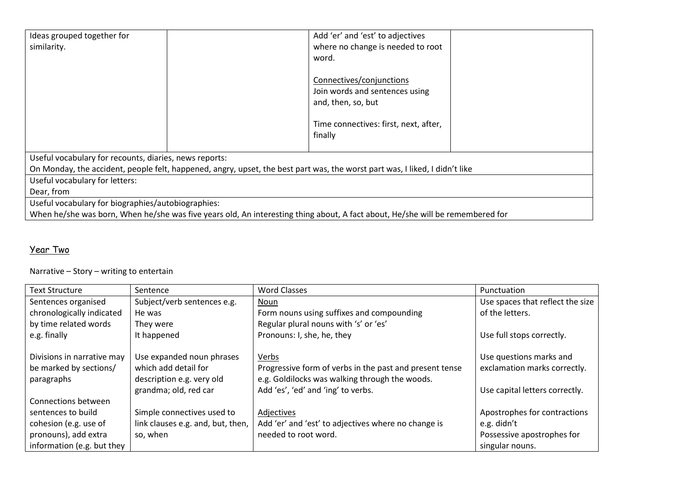| Ideas grouped together for                                                                                                    | Add 'er' and 'est' to adjectives      |  |  |  |
|-------------------------------------------------------------------------------------------------------------------------------|---------------------------------------|--|--|--|
| similarity.                                                                                                                   | where no change is needed to root     |  |  |  |
|                                                                                                                               | word.                                 |  |  |  |
|                                                                                                                               |                                       |  |  |  |
|                                                                                                                               | Connectives/conjunctions              |  |  |  |
|                                                                                                                               | Join words and sentences using        |  |  |  |
|                                                                                                                               | and, then, so, but                    |  |  |  |
|                                                                                                                               |                                       |  |  |  |
|                                                                                                                               | Time connectives: first, next, after, |  |  |  |
|                                                                                                                               | finally                               |  |  |  |
|                                                                                                                               |                                       |  |  |  |
| Useful vocabulary for recounts, diaries, news reports:                                                                        |                                       |  |  |  |
| On Monday, the accident, people felt, happened, angry, upset, the best part was, the worst part was, I liked, I didn't like   |                                       |  |  |  |
| Useful vocabulary for letters:                                                                                                |                                       |  |  |  |
| Dear, from                                                                                                                    |                                       |  |  |  |
| Useful vocabulary for biographies/autobiographies:                                                                            |                                       |  |  |  |
| When he/she was born, When he/she was five years old, An interesting thing about, A fact about, He/she will be remembered for |                                       |  |  |  |

### Year Two

Narrative – Story – writing to entertain

| <b>Text Structure</b>      | Sentence                          | Word Classes                                            | Punctuation                      |
|----------------------------|-----------------------------------|---------------------------------------------------------|----------------------------------|
| Sentences organised        | Subject/verb sentences e.g.       | Noun                                                    | Use spaces that reflect the size |
| chronologically indicated  | He was                            | Form nouns using suffixes and compounding               | of the letters.                  |
| by time related words      | They were                         | Regular plural nouns with 's' or 'es'                   |                                  |
| e.g. finally               | It happened                       | Pronouns: I, she, he, they                              | Use full stops correctly.        |
|                            |                                   |                                                         |                                  |
| Divisions in narrative may | Use expanded noun phrases         | Verbs                                                   | Use questions marks and          |
| be marked by sections/     | which add detail for              | Progressive form of verbs in the past and present tense | exclamation marks correctly.     |
| paragraphs                 | description e.g. very old         | e.g. Goldilocks was walking through the woods.          |                                  |
|                            | grandma; old, red car             | Add 'es', 'ed' and 'ing' to verbs.                      | Use capital letters correctly.   |
| Connections between        |                                   |                                                         |                                  |
| sentences to build         | Simple connectives used to        | Adjectives                                              | Apostrophes for contractions     |
| cohesion (e.g. use of      | link clauses e.g. and, but, then, | Add 'er' and 'est' to adjectives where no change is     | e.g. didn't                      |
| pronouns), add extra       | so, when                          | needed to root word.                                    | Possessive apostrophes for       |
| information (e.g. but they |                                   |                                                         | singular nouns.                  |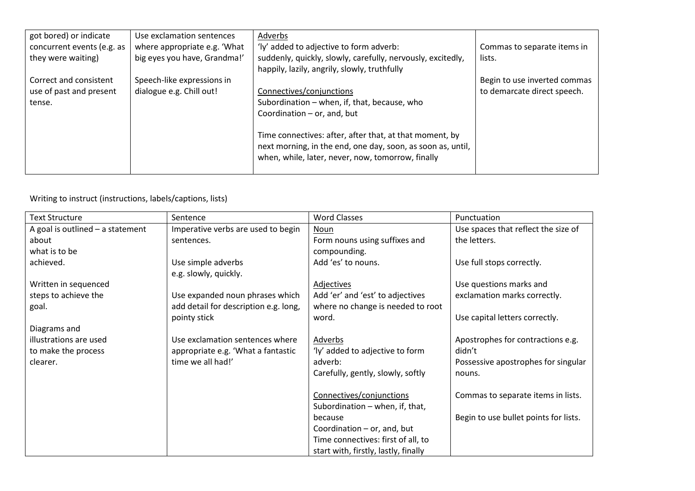| got bored) or indicate     | Use exclamation sentences    | Adverbs                                                     |                              |
|----------------------------|------------------------------|-------------------------------------------------------------|------------------------------|
| concurrent events (e.g. as | where appropriate e.g. 'What | 'ly' added to adjective to form adverb:                     | Commas to separate items in  |
| they were waiting)         | big eyes you have, Grandma!' | suddenly, quickly, slowly, carefully, nervously, excitedly, | lists.                       |
|                            |                              | happily, lazily, angrily, slowly, truthfully                |                              |
| Correct and consistent     | Speech-like expressions in   |                                                             | Begin to use inverted commas |
| use of past and present    | dialogue e.g. Chill out!     | Connectives/conjunctions                                    | to demarcate direct speech.  |
| tense.                     |                              | Subordination – when, if, that, because, who                |                              |
|                            |                              | Coordination $-$ or, and, but                               |                              |
|                            |                              |                                                             |                              |
|                            |                              | Time connectives: after, after that, at that moment, by     |                              |
|                            |                              | next morning, in the end, one day, soon, as soon as, until, |                              |
|                            |                              | when, while, later, never, now, tomorrow, finally           |                              |
|                            |                              |                                                             |                              |

### Writing to instruct (instructions, labels/captions, lists)

| <b>Text Structure</b>              | Sentence                              | <b>Word Classes</b>                  | Punctuation                           |
|------------------------------------|---------------------------------------|--------------------------------------|---------------------------------------|
| A goal is outlined $-$ a statement | Imperative verbs are used to begin    | Noun                                 | Use spaces that reflect the size of   |
| about                              | sentences.                            | Form nouns using suffixes and        | the letters.                          |
| what is to be                      |                                       | compounding.                         |                                       |
| achieved.                          | Use simple adverbs                    | Add 'es' to nouns.                   | Use full stops correctly.             |
|                                    | e.g. slowly, quickly.                 |                                      |                                       |
| Written in sequenced               |                                       | Adjectives                           | Use questions marks and               |
| steps to achieve the               | Use expanded noun phrases which       | Add 'er' and 'est' to adjectives     | exclamation marks correctly.          |
| goal.                              | add detail for description e.g. long, | where no change is needed to root    |                                       |
|                                    | pointy stick                          | word.                                | Use capital letters correctly.        |
| Diagrams and                       |                                       |                                      |                                       |
| illustrations are used             | Use exclamation sentences where       | <b>Adverbs</b>                       | Apostrophes for contractions e.g.     |
| to make the process                | appropriate e.g. 'What a fantastic    | 'ly' added to adjective to form      | didn't                                |
| clearer.                           | time we all had!'                     | adverb:                              | Possessive apostrophes for singular   |
|                                    |                                       | Carefully, gently, slowly, softly    | nouns.                                |
|                                    |                                       |                                      |                                       |
|                                    |                                       | Connectives/conjunctions             | Commas to separate items in lists.    |
|                                    |                                       | Subordination - when, if, that,      |                                       |
|                                    |                                       | because                              | Begin to use bullet points for lists. |
|                                    |                                       | Coordination $-$ or, and, but        |                                       |
|                                    |                                       | Time connectives: first of all, to   |                                       |
|                                    |                                       | start with, firstly, lastly, finally |                                       |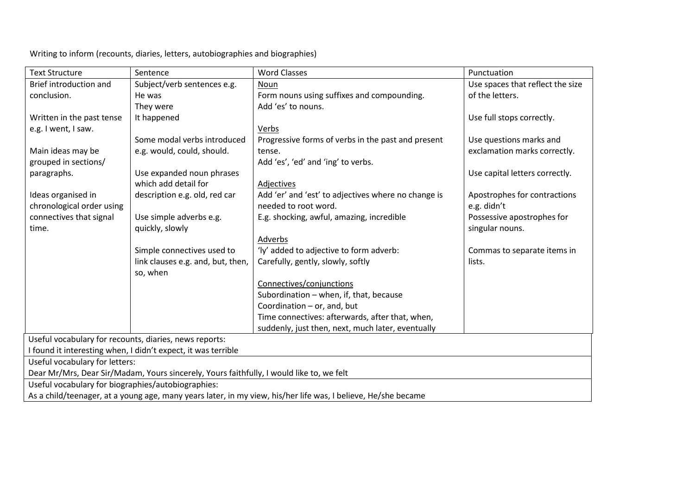Writing to inform (recounts, diaries, letters, autobiographies and biographies)

| <b>Text Structure</b>                                                                                         | Sentence                          | <b>Word Classes</b>                                 | Punctuation                      |  |  |
|---------------------------------------------------------------------------------------------------------------|-----------------------------------|-----------------------------------------------------|----------------------------------|--|--|
| Brief introduction and                                                                                        | Subject/verb sentences e.g.       | Noun                                                | Use spaces that reflect the size |  |  |
| conclusion.                                                                                                   | He was                            | Form nouns using suffixes and compounding.          | of the letters.                  |  |  |
|                                                                                                               | They were                         | Add 'es' to nouns.                                  |                                  |  |  |
| Written in the past tense                                                                                     | It happened                       |                                                     | Use full stops correctly.        |  |  |
| e.g. I went, I saw.                                                                                           |                                   | Verbs                                               |                                  |  |  |
|                                                                                                               | Some modal verbs introduced       | Progressive forms of verbs in the past and present  | Use questions marks and          |  |  |
| Main ideas may be                                                                                             | e.g. would, could, should.        | tense.                                              | exclamation marks correctly.     |  |  |
| grouped in sections/                                                                                          |                                   | Add 'es', 'ed' and 'ing' to verbs.                  |                                  |  |  |
| paragraphs.                                                                                                   | Use expanded noun phrases         |                                                     | Use capital letters correctly.   |  |  |
|                                                                                                               | which add detail for              | Adjectives                                          |                                  |  |  |
| Ideas organised in                                                                                            | description e.g. old, red car     | Add 'er' and 'est' to adjectives where no change is | Apostrophes for contractions     |  |  |
| chronological order using                                                                                     |                                   | needed to root word.                                | e.g. didn't                      |  |  |
| connectives that signal                                                                                       | Use simple adverbs e.g.           | E.g. shocking, awful, amazing, incredible           | Possessive apostrophes for       |  |  |
| time.                                                                                                         | quickly, slowly                   |                                                     | singular nouns.                  |  |  |
|                                                                                                               |                                   | Adverbs                                             |                                  |  |  |
|                                                                                                               | Simple connectives used to        | 'ly' added to adjective to form adverb:             | Commas to separate items in      |  |  |
|                                                                                                               | link clauses e.g. and, but, then, | Carefully, gently, slowly, softly                   | lists.                           |  |  |
|                                                                                                               | so, when                          |                                                     |                                  |  |  |
|                                                                                                               |                                   | Connectives/conjunctions                            |                                  |  |  |
|                                                                                                               |                                   | Subordination - when, if, that, because             |                                  |  |  |
|                                                                                                               |                                   | Coordination - or, and, but                         |                                  |  |  |
|                                                                                                               |                                   | Time connectives: afterwards, after that, when,     |                                  |  |  |
|                                                                                                               |                                   | suddenly, just then, next, much later, eventually   |                                  |  |  |
| Useful vocabulary for recounts, diaries, news reports:                                                        |                                   |                                                     |                                  |  |  |
| I found it interesting when, I didn't expect, it was terrible                                                 |                                   |                                                     |                                  |  |  |
| Useful vocabulary for letters:                                                                                |                                   |                                                     |                                  |  |  |
| Dear Mr/Mrs, Dear Sir/Madam, Yours sincerely, Yours faithfully, I would like to, we felt                      |                                   |                                                     |                                  |  |  |
| Useful vocabulary for biographies/autobiographies:                                                            |                                   |                                                     |                                  |  |  |
| As a child/teenager, at a young age, many years later, in my view, his/her life was, I believe, He/she became |                                   |                                                     |                                  |  |  |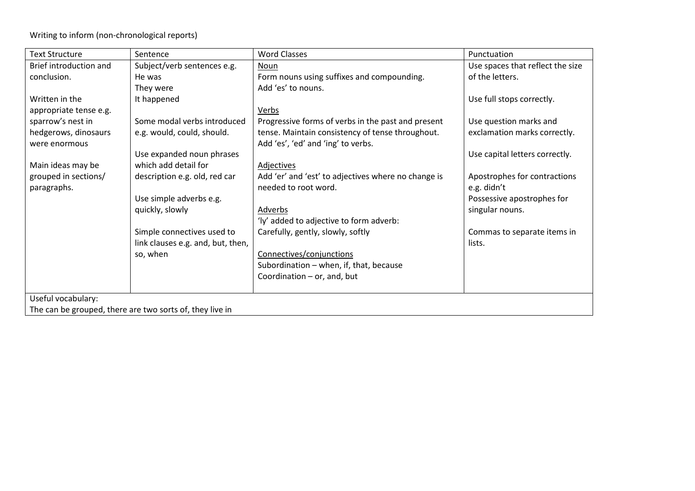Writing to inform (non-chronological reports)

| <b>Text Structure</b>  | Sentence                                                 | <b>Word Classes</b>                                 | Punctuation                      |
|------------------------|----------------------------------------------------------|-----------------------------------------------------|----------------------------------|
| Brief introduction and | Subject/verb sentences e.g.                              | Noun                                                | Use spaces that reflect the size |
| conclusion.            | He was                                                   | Form nouns using suffixes and compounding.          | of the letters.                  |
|                        | They were                                                | Add 'es' to nouns.                                  |                                  |
| Written in the         | It happened                                              |                                                     | Use full stops correctly.        |
| appropriate tense e.g. |                                                          | Verbs                                               |                                  |
| sparrow's nest in      | Some modal verbs introduced                              | Progressive forms of verbs in the past and present  | Use question marks and           |
| hedgerows, dinosaurs   | e.g. would, could, should.                               | tense. Maintain consistency of tense throughout.    | exclamation marks correctly.     |
| were enormous          |                                                          | Add 'es', 'ed' and 'ing' to verbs.                  |                                  |
|                        | Use expanded noun phrases                                |                                                     | Use capital letters correctly.   |
| Main ideas may be      | which add detail for                                     | Adjectives                                          |                                  |
| grouped in sections/   | description e.g. old, red car                            | Add 'er' and 'est' to adjectives where no change is | Apostrophes for contractions     |
| paragraphs.            |                                                          | needed to root word.                                | e.g. didn't                      |
|                        | Use simple adverbs e.g.                                  |                                                     | Possessive apostrophes for       |
|                        | quickly, slowly                                          | Adverbs                                             | singular nouns.                  |
|                        |                                                          | 'ly' added to adjective to form adverb:             |                                  |
|                        | Simple connectives used to                               | Carefully, gently, slowly, softly                   | Commas to separate items in      |
|                        | link clauses e.g. and, but, then,                        |                                                     | lists.                           |
|                        | so, when                                                 | Connectives/conjunctions                            |                                  |
|                        |                                                          | Subordination - when, if, that, because             |                                  |
|                        |                                                          | Coordination - or, and, but                         |                                  |
|                        |                                                          |                                                     |                                  |
| Useful vocabulary:     |                                                          |                                                     |                                  |
|                        | The can be grouped, there are two sorts of, they live in |                                                     |                                  |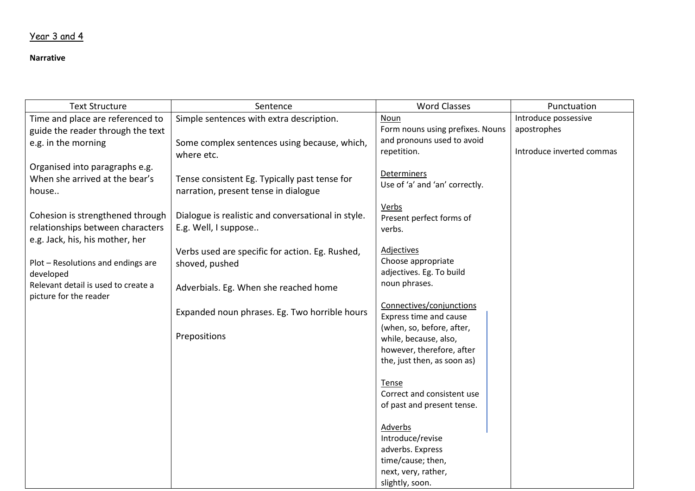### Year 3 and 4

#### **Narrative**

| <b>Text Structure</b>               | Sentence                                           | <b>Word Classes</b>                                      | Punctuation               |
|-------------------------------------|----------------------------------------------------|----------------------------------------------------------|---------------------------|
| Time and place are referenced to    | Simple sentences with extra description.           | Noun                                                     | Introduce possessive      |
| guide the reader through the text   |                                                    | Form nouns using prefixes. Nouns                         | apostrophes               |
| e.g. in the morning                 | Some complex sentences using because, which,       | and pronouns used to avoid                               |                           |
|                                     | where etc.                                         | repetition.                                              | Introduce inverted commas |
| Organised into paragraphs e.g.      |                                                    |                                                          |                           |
| When she arrived at the bear's      | Tense consistent Eg. Typically past tense for      | <b>Determiners</b><br>Use of 'a' and 'an' correctly.     |                           |
| house                               | narration, present tense in dialogue               |                                                          |                           |
|                                     |                                                    | Verbs                                                    |                           |
| Cohesion is strengthened through    | Dialogue is realistic and conversational in style. | Present perfect forms of                                 |                           |
| relationships between characters    | E.g. Well, I suppose                               | verbs.                                                   |                           |
| e.g. Jack, his, his mother, her     |                                                    |                                                          |                           |
|                                     | Verbs used are specific for action. Eg. Rushed,    | <b>Adjectives</b>                                        |                           |
| Plot - Resolutions and endings are  | shoved, pushed                                     | Choose appropriate                                       |                           |
| developed                           |                                                    | adjectives. Eg. To build                                 |                           |
| Relevant detail is used to create a | Adverbials. Eg. When she reached home              | noun phrases.                                            |                           |
| picture for the reader              |                                                    | Connectives/conjunctions                                 |                           |
|                                     | Expanded noun phrases. Eg. Two horrible hours      | Express time and cause                                   |                           |
|                                     |                                                    | (when, so, before, after,                                |                           |
|                                     | Prepositions                                       | while, because, also,                                    |                           |
|                                     |                                                    | however, therefore, after                                |                           |
|                                     |                                                    | the, just then, as soon as)                              |                           |
|                                     |                                                    |                                                          |                           |
|                                     |                                                    | Tense                                                    |                           |
|                                     |                                                    | Correct and consistent use<br>of past and present tense. |                           |
|                                     |                                                    |                                                          |                           |
|                                     |                                                    | Adverbs                                                  |                           |
|                                     |                                                    | Introduce/revise                                         |                           |
|                                     |                                                    | adverbs. Express                                         |                           |
|                                     |                                                    | time/cause; then,                                        |                           |
|                                     |                                                    | next, very, rather,                                      |                           |
|                                     |                                                    | slightly, soon.                                          |                           |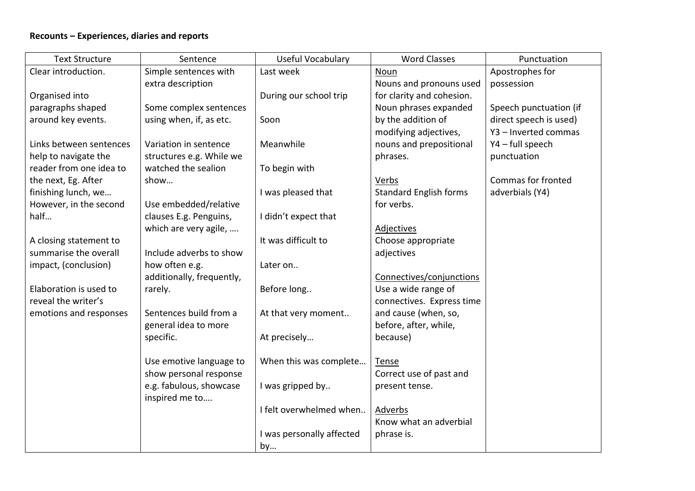### **Recounts – Experiences, diaries and reports**

| <b>Text Structure</b>   | Sentence                  | <b>Useful Vocabulary</b>  | <b>Word Classes</b>           | Punctuation            |
|-------------------------|---------------------------|---------------------------|-------------------------------|------------------------|
| Clear introduction.     | Simple sentences with     | Last week                 | Noun                          | Apostrophes for        |
|                         | extra description         |                           | Nouns and pronouns used       | possession             |
| Organised into          |                           | During our school trip    | for clarity and cohesion.     |                        |
| paragraphs shaped       | Some complex sentences    |                           | Noun phrases expanded         | Speech punctuation (if |
| around key events.      | using when, if, as etc.   | Soon                      | by the addition of            | direct speech is used) |
|                         |                           |                           | modifying adjectives,         | Y3 - Inverted commas   |
| Links between sentences | Variation in sentence     | Meanwhile                 | nouns and prepositional       | Y4 - full speech       |
| help to navigate the    | structures e.g. While we  |                           | phrases.                      | punctuation            |
| reader from one idea to | watched the sealion       | To begin with             |                               |                        |
| the next, Eg. After     | show                      |                           | <b>Verbs</b>                  | Commas for fronted     |
| finishing lunch, we     |                           | I was pleased that        | <b>Standard English forms</b> | adverbials (Y4)        |
| However, in the second  | Use embedded/relative     |                           | for verbs.                    |                        |
| half                    | clauses E.g. Penguins,    | I didn't expect that      |                               |                        |
|                         | which are very agile,     |                           | <b>Adjectives</b>             |                        |
| A closing statement to  |                           | It was difficult to       | Choose appropriate            |                        |
| summarise the overall   | Include adverbs to show   |                           | adjectives                    |                        |
| impact, (conclusion)    | how often e.g.            | Later on                  |                               |                        |
|                         | additionally, frequently, |                           | Connectives/conjunctions      |                        |
| Elaboration is used to  | rarely.                   | Before long               | Use a wide range of           |                        |
| reveal the writer's     |                           |                           | connectives. Express time     |                        |
| emotions and responses  | Sentences build from a    | At that very moment       | and cause (when, so,          |                        |
|                         | general idea to more      |                           | before, after, while,         |                        |
|                         | specific.                 | At precisely              | because)                      |                        |
|                         |                           |                           |                               |                        |
|                         | Use emotive language to   | When this was complete    | <b>Tense</b>                  |                        |
|                         | show personal response    |                           | Correct use of past and       |                        |
|                         | e.g. fabulous, showcase   | I was gripped by          | present tense.                |                        |
|                         | inspired me to            |                           |                               |                        |
|                         |                           | I felt overwhelmed when   | Adverbs                       |                        |
|                         |                           |                           | Know what an adverbial        |                        |
|                         |                           | I was personally affected | phrase is.                    |                        |
|                         |                           | by                        |                               |                        |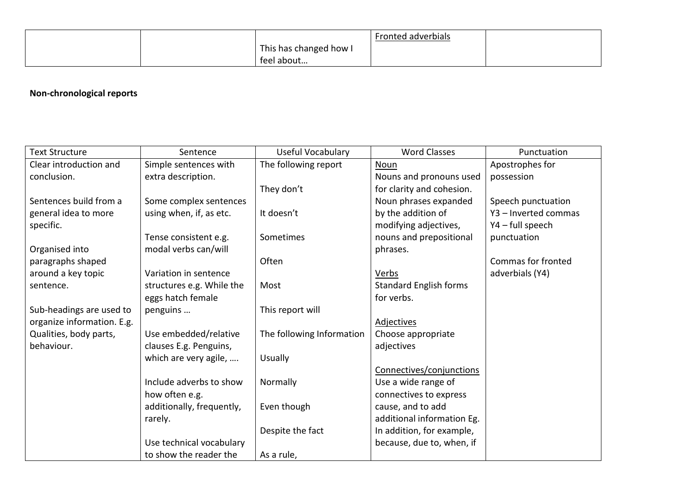|  |                        | Fronted adverbials |  |
|--|------------------------|--------------------|--|
|  | This has changed how I |                    |  |
|  | feel about             |                    |  |

### **Non-chronological reports**

| <b>Text Structure</b>      | Sentence                  | Useful Vocabulary         | <b>Word Classes</b>           | Punctuation          |
|----------------------------|---------------------------|---------------------------|-------------------------------|----------------------|
| Clear introduction and     | Simple sentences with     | The following report      | Noun                          | Apostrophes for      |
| conclusion.                | extra description.        |                           | Nouns and pronouns used       | possession           |
|                            |                           | They don't                | for clarity and cohesion.     |                      |
| Sentences build from a     | Some complex sentences    |                           | Noun phrases expanded         | Speech punctuation   |
| general idea to more       | using when, if, as etc.   | It doesn't                | by the addition of            | Y3 - Inverted commas |
| specific.                  |                           |                           | modifying adjectives,         | Y4 - full speech     |
|                            | Tense consistent e.g.     | Sometimes                 | nouns and prepositional       | punctuation          |
| Organised into             | modal verbs can/will      |                           | phrases.                      |                      |
| paragraphs shaped          |                           | Often                     |                               | Commas for fronted   |
| around a key topic         | Variation in sentence     |                           | Verbs                         | adverbials (Y4)      |
| sentence.                  | structures e.g. While the | Most                      | <b>Standard English forms</b> |                      |
|                            | eggs hatch female         |                           | for verbs.                    |                      |
| Sub-headings are used to   | penguins                  | This report will          |                               |                      |
| organize information. E.g. |                           |                           | <b>Adjectives</b>             |                      |
| Qualities, body parts,     | Use embedded/relative     | The following Information | Choose appropriate            |                      |
| behaviour.                 | clauses E.g. Penguins,    |                           | adjectives                    |                      |
|                            | which are very agile,     | Usually                   |                               |                      |
|                            |                           |                           | Connectives/conjunctions      |                      |
|                            | Include adverbs to show   | Normally                  | Use a wide range of           |                      |
|                            | how often e.g.            |                           | connectives to express        |                      |
|                            | additionally, frequently, | Even though               | cause, and to add             |                      |
|                            | rarely.                   |                           | additional information Eg.    |                      |
|                            |                           | Despite the fact          | In addition, for example,     |                      |
|                            | Use technical vocabulary  |                           | because, due to, when, if     |                      |
|                            | to show the reader the    | As a rule,                |                               |                      |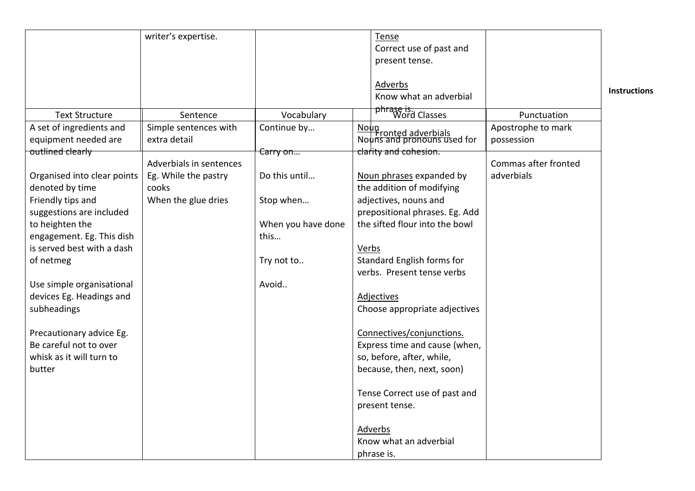|                                                       | writer's expertise.                             |                    | Tense<br>Correct use of past and<br>present tense.<br>Adverbs<br>Know what an adverbial |                                    | <b>Instructions</b> |
|-------------------------------------------------------|-------------------------------------------------|--------------------|-----------------------------------------------------------------------------------------|------------------------------------|---------------------|
| <b>Text Structure</b>                                 | Sentence                                        | Vocabulary         | phrase is.<br>Word Classes                                                              | Punctuation                        |                     |
| A set of ingredients and<br>equipment needed are      | Simple sentences with<br>extra detail           | Continue by        | Noun<br>Nouns and pronouns used for                                                     | Apostrophe to mark<br>possession   |                     |
| outlined clearly                                      |                                                 | Carry on           | clarity and cohesion.                                                                   |                                    |                     |
| Organised into clear points                           | Adverbials in sentences<br>Eg. While the pastry | Do this until      | Noun phrases expanded by                                                                | Commas after fronted<br>adverbials |                     |
| denoted by time                                       | cooks                                           |                    | the addition of modifying                                                               |                                    |                     |
| Friendly tips and                                     | When the glue dries                             | Stop when          | adjectives, nouns and                                                                   |                                    |                     |
| suggestions are included                              |                                                 |                    | prepositional phrases. Eg. Add                                                          |                                    |                     |
| to heighten the                                       |                                                 | When you have done | the sifted flour into the bowl                                                          |                                    |                     |
| engagement. Eg. This dish                             |                                                 | this               |                                                                                         |                                    |                     |
| is served best with a dash                            |                                                 |                    | Verbs                                                                                   |                                    |                     |
| of netmeg                                             |                                                 | Try not to         | Standard English forms for                                                              |                                    |                     |
|                                                       |                                                 |                    | verbs. Present tense verbs                                                              |                                    |                     |
| Use simple organisational<br>devices Eg. Headings and |                                                 | Avoid              | <b>Adjectives</b>                                                                       |                                    |                     |
| subheadings                                           |                                                 |                    | Choose appropriate adjectives                                                           |                                    |                     |
|                                                       |                                                 |                    |                                                                                         |                                    |                     |
| Precautionary advice Eg.                              |                                                 |                    | Connectives/conjunctions.                                                               |                                    |                     |
| Be careful not to over                                |                                                 |                    | Express time and cause (when,                                                           |                                    |                     |
| whisk as it will turn to                              |                                                 |                    | so, before, after, while,                                                               |                                    |                     |
| butter                                                |                                                 |                    | because, then, next, soon)                                                              |                                    |                     |
|                                                       |                                                 |                    | Tense Correct use of past and                                                           |                                    |                     |
|                                                       |                                                 |                    | present tense.                                                                          |                                    |                     |
|                                                       |                                                 |                    | <b>Adverbs</b>                                                                          |                                    |                     |
|                                                       |                                                 |                    | Know what an adverbial                                                                  |                                    |                     |
|                                                       |                                                 |                    | phrase is.                                                                              |                                    |                     |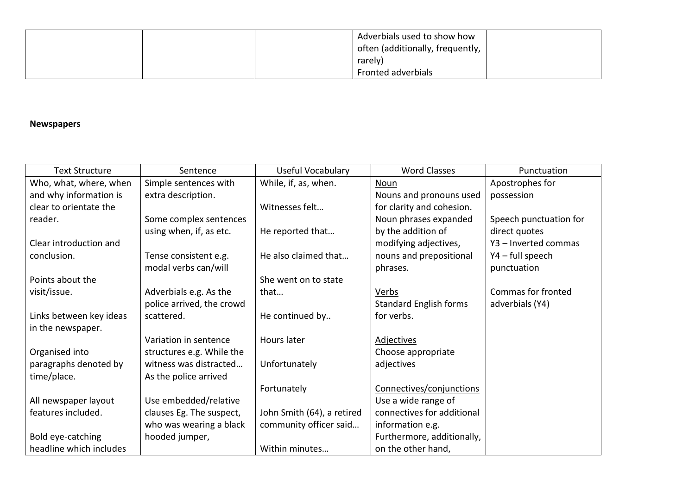|  | Adverbials used to show how        |  |
|--|------------------------------------|--|
|  | often (additionally, frequently, 1 |  |
|  | rarely)                            |  |
|  | Fronted adverbials                 |  |

#### **Newspapers**

| <b>Text Structure</b>   | Sentence                  | Useful Vocabulary          | <b>Word Classes</b>           | Punctuation            |
|-------------------------|---------------------------|----------------------------|-------------------------------|------------------------|
| Who, what, where, when  | Simple sentences with     | While, if, as, when.       | Noun                          | Apostrophes for        |
| and why information is  | extra description.        |                            | Nouns and pronouns used       | possession             |
| clear to orientate the  |                           | Witnesses felt             | for clarity and cohesion.     |                        |
| reader.                 | Some complex sentences    |                            | Noun phrases expanded         | Speech punctuation for |
|                         | using when, if, as etc.   | He reported that           | by the addition of            | direct quotes          |
| Clear introduction and  |                           |                            | modifying adjectives,         | Y3 - Inverted commas   |
| conclusion.             | Tense consistent e.g.     | He also claimed that       | nouns and prepositional       | Y4 - full speech       |
|                         | modal verbs can/will      |                            | phrases.                      | punctuation            |
| Points about the        |                           | She went on to state       |                               |                        |
| visit/issue.            | Adverbials e.g. As the    | that                       | Verbs                         | Commas for fronted     |
|                         | police arrived, the crowd |                            | <b>Standard English forms</b> | adverbials (Y4)        |
| Links between key ideas | scattered.                | He continued by            | for verbs.                    |                        |
| in the newspaper.       |                           |                            |                               |                        |
|                         | Variation in sentence     | Hours later                | <b>Adjectives</b>             |                        |
| Organised into          | structures e.g. While the |                            | Choose appropriate            |                        |
| paragraphs denoted by   | witness was distracted    | Unfortunately              | adjectives                    |                        |
| time/place.             | As the police arrived     |                            |                               |                        |
|                         |                           | Fortunately                | Connectives/conjunctions      |                        |
| All newspaper layout    | Use embedded/relative     |                            | Use a wide range of           |                        |
| features included.      | clauses Eg. The suspect,  | John Smith (64), a retired | connectives for additional    |                        |
|                         | who was wearing a black   | community officer said     | information e.g.              |                        |
| Bold eye-catching       | hooded jumper,            |                            | Furthermore, additionally,    |                        |
| headline which includes |                           | Within minutes             | on the other hand,            |                        |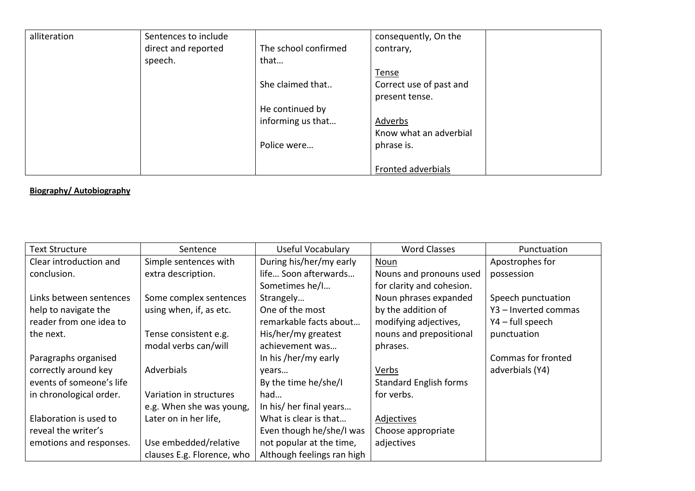| alliteration | Sentences to include |                      | consequently, On the    |
|--------------|----------------------|----------------------|-------------------------|
|              | direct and reported  | The school confirmed | contrary,               |
|              | speech.              | that                 |                         |
|              |                      |                      | Tense                   |
|              |                      | She claimed that     | Correct use of past and |
|              |                      |                      | present tense.          |
|              |                      | He continued by      |                         |
|              |                      | informing us that    | Adverbs                 |
|              |                      |                      | Know what an adverbial  |
|              |                      | Police were          | phrase is.              |
|              |                      |                      |                         |
|              |                      |                      | Fronted adverbials      |

#### **Biography/ Autobiography**

| <b>Text Structure</b>    | Sentence                   | Useful Vocabulary          | <b>Word Classes</b>           | Punctuation          |
|--------------------------|----------------------------|----------------------------|-------------------------------|----------------------|
| Clear introduction and   | Simple sentences with      | During his/her/my early    | <b>Noun</b>                   | Apostrophes for      |
| conclusion.              | extra description.         | life Soon afterwards       | Nouns and pronouns used       | possession           |
|                          |                            | Sometimes he/I             | for clarity and cohesion.     |                      |
| Links between sentences  | Some complex sentences     | Strangely                  | Noun phrases expanded         | Speech punctuation   |
| help to navigate the     | using when, if, as etc.    | One of the most            | by the addition of            | Y3 - Inverted commas |
| reader from one idea to  |                            | remarkable facts about     | modifying adjectives,         | Y4 - full speech     |
| the next.                | Tense consistent e.g.      | His/her/my greatest        | nouns and prepositional       | punctuation          |
|                          | modal verbs can/will       | achievement was            | phrases.                      |                      |
| Paragraphs organised     |                            | In his /her/my early       |                               | Commas for fronted   |
| correctly around key     | Adverbials                 | years                      | Verbs                         | adverbials (Y4)      |
| events of someone's life |                            | By the time he/she/I       | <b>Standard English forms</b> |                      |
| in chronological order.  | Variation in structures    | had                        | for verbs.                    |                      |
|                          | e.g. When she was young,   | In his/ her final years    |                               |                      |
| Elaboration is used to   | Later on in her life,      | What is clear is that      | Adjectives                    |                      |
| reveal the writer's      |                            | Even though he/she/I was   | Choose appropriate            |                      |
| emotions and responses.  | Use embedded/relative      | not popular at the time,   | adjectives                    |                      |
|                          | clauses E.g. Florence, who | Although feelings ran high |                               |                      |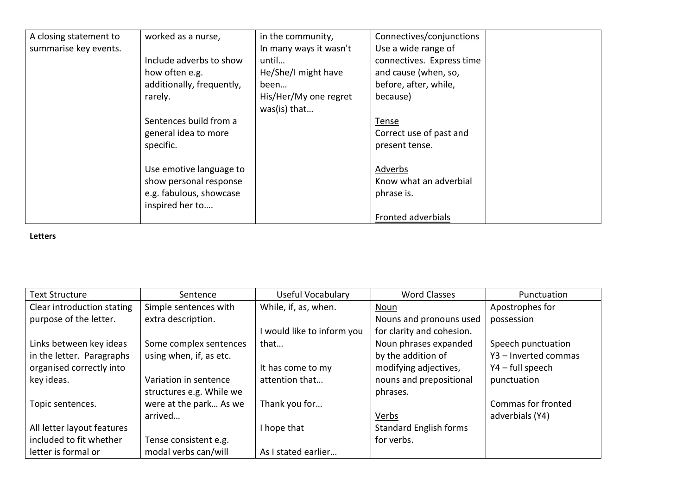| A closing statement to | worked as a nurse,        | in the community,      | Connectives/conjunctions  |  |
|------------------------|---------------------------|------------------------|---------------------------|--|
| summarise key events.  |                           | In many ways it wasn't | Use a wide range of       |  |
|                        | Include adverbs to show   | until                  | connectives. Express time |  |
|                        | how often e.g.            | He/She/I might have    | and cause (when, so,      |  |
|                        | additionally, frequently, | been                   | before, after, while,     |  |
|                        | rarely.                   | His/Her/My one regret  | because)                  |  |
|                        |                           | was(is) that           |                           |  |
|                        | Sentences build from a    |                        | Tense                     |  |
|                        | general idea to more      |                        | Correct use of past and   |  |
|                        | specific.                 |                        | present tense.            |  |
|                        |                           |                        |                           |  |
|                        | Use emotive language to   |                        | Adverbs                   |  |
|                        | show personal response    |                        | Know what an adverbial    |  |
|                        | e.g. fabulous, showcase   |                        | phrase is.                |  |
|                        | inspired her to           |                        |                           |  |
|                        |                           |                        | Fronted adverbials        |  |

#### **Letters**

| <b>Text Structure</b>      | Sentence                 | Useful Vocabulary          | <b>Word Classes</b>           | Punctuation          |
|----------------------------|--------------------------|----------------------------|-------------------------------|----------------------|
| Clear introduction stating | Simple sentences with    | While, if, as, when.       | Noun                          | Apostrophes for      |
| purpose of the letter.     | extra description.       |                            | Nouns and pronouns used       | possession           |
|                            |                          | I would like to inform you | for clarity and cohesion.     |                      |
| Links between key ideas    | Some complex sentences   | that                       | Noun phrases expanded         | Speech punctuation   |
| in the letter. Paragraphs  | using when, if, as etc.  |                            | by the addition of            | Y3 - Inverted commas |
| organised correctly into   |                          | It has come to my          | modifying adjectives,         | Y4 - full speech     |
| key ideas.                 | Variation in sentence    | attention that             | nouns and prepositional       | punctuation          |
|                            | structures e.g. While we |                            | phrases.                      |                      |
| Topic sentences.           | were at the park As we   | Thank you for              |                               | Commas for fronted   |
|                            | arrived                  |                            | Verbs                         | adverbials (Y4)      |
| All letter layout features |                          | I hope that                | <b>Standard English forms</b> |                      |
| included to fit whether    | Tense consistent e.g.    |                            | for verbs.                    |                      |
| letter is formal or        | modal verbs can/will     | As I stated earlier        |                               |                      |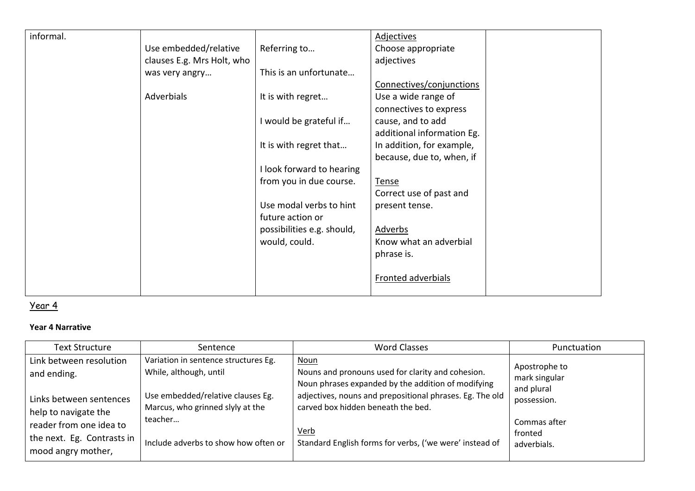| informal. |                            |                                                                                                                               | <b>Adjectives</b>                                                                                                                                                                                                 |  |
|-----------|----------------------------|-------------------------------------------------------------------------------------------------------------------------------|-------------------------------------------------------------------------------------------------------------------------------------------------------------------------------------------------------------------|--|
|           | Use embedded/relative      | Referring to                                                                                                                  | Choose appropriate                                                                                                                                                                                                |  |
|           | clauses E.g. Mrs Holt, who |                                                                                                                               | adjectives                                                                                                                                                                                                        |  |
|           | was very angry             | This is an unfortunate                                                                                                        |                                                                                                                                                                                                                   |  |
|           |                            |                                                                                                                               | Connectives/conjunctions                                                                                                                                                                                          |  |
|           | Adverbials                 | It is with regret                                                                                                             | Use a wide range of                                                                                                                                                                                               |  |
|           |                            |                                                                                                                               | connectives to express                                                                                                                                                                                            |  |
|           |                            | I would be grateful if                                                                                                        |                                                                                                                                                                                                                   |  |
|           |                            |                                                                                                                               | additional information Eg.                                                                                                                                                                                        |  |
|           |                            |                                                                                                                               |                                                                                                                                                                                                                   |  |
|           |                            |                                                                                                                               |                                                                                                                                                                                                                   |  |
|           |                            |                                                                                                                               |                                                                                                                                                                                                                   |  |
|           |                            |                                                                                                                               |                                                                                                                                                                                                                   |  |
|           |                            |                                                                                                                               |                                                                                                                                                                                                                   |  |
|           |                            | Use modal verbs to hint                                                                                                       |                                                                                                                                                                                                                   |  |
|           |                            | future action or                                                                                                              |                                                                                                                                                                                                                   |  |
|           |                            |                                                                                                                               |                                                                                                                                                                                                                   |  |
|           |                            |                                                                                                                               |                                                                                                                                                                                                                   |  |
|           |                            |                                                                                                                               |                                                                                                                                                                                                                   |  |
|           |                            |                                                                                                                               |                                                                                                                                                                                                                   |  |
|           |                            |                                                                                                                               |                                                                                                                                                                                                                   |  |
|           |                            |                                                                                                                               |                                                                                                                                                                                                                   |  |
|           |                            | It is with regret that<br>I look forward to hearing<br>from you in due course.<br>possibilities e.g. should,<br>would, could. | cause, and to add<br>In addition, for example,<br>because, due to, when, if<br>Tense<br>Correct use of past and<br>present tense.<br>Adverbs<br>Know what an adverbial<br>phrase is.<br><b>Fronted adverbials</b> |  |

### Year 4

#### **Year 4 Narrative**

| <b>Text Structure</b>                                                                     | Sentence                                                                                                                                | <b>Word Classes</b>                                                                                                                                                                                                      | Punctuation                                                 |
|-------------------------------------------------------------------------------------------|-----------------------------------------------------------------------------------------------------------------------------------------|--------------------------------------------------------------------------------------------------------------------------------------------------------------------------------------------------------------------------|-------------------------------------------------------------|
| Link between resolution<br>and ending.<br>Links between sentences<br>help to navigate the | Variation in sentence structures Eg.<br>While, although, until<br>Use embedded/relative clauses Eg.<br>Marcus, who grinned slyly at the | <b>Noun</b><br>Nouns and pronouns used for clarity and cohesion.<br>Noun phrases expanded by the addition of modifying<br>adjectives, nouns and prepositional phrases. Eg. The old<br>carved box hidden beneath the bed. | Apostrophe to<br>mark singular<br>and plural<br>possession. |
| reader from one idea to<br>the next. Eg. Contrasts in<br>mood angry mother,               | teacher<br>Include adverbs to show how often or                                                                                         | Verb<br>Standard English forms for verbs, ('we were' instead of                                                                                                                                                          | Commas after<br>fronted<br>adverbials.                      |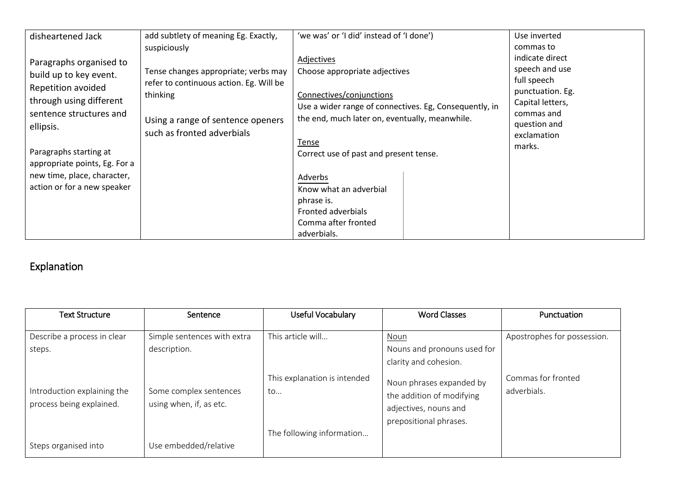| disheartened Jack                                                                                                                                                                                                                                                   | add subtlety of meaning Eg. Exactly,                                                                                                                           | 'we was' or 'I did' instead of 'I done')                                                                                                                                                                                                                                                                                                                     | Use inverted                                                                                                                                    |
|---------------------------------------------------------------------------------------------------------------------------------------------------------------------------------------------------------------------------------------------------------------------|----------------------------------------------------------------------------------------------------------------------------------------------------------------|--------------------------------------------------------------------------------------------------------------------------------------------------------------------------------------------------------------------------------------------------------------------------------------------------------------------------------------------------------------|-------------------------------------------------------------------------------------------------------------------------------------------------|
|                                                                                                                                                                                                                                                                     | suspiciously                                                                                                                                                   |                                                                                                                                                                                                                                                                                                                                                              | commas to                                                                                                                                       |
| Paragraphs organised to<br>build up to key event.<br>Repetition avoided<br>through using different<br>sentence structures and<br>ellipsis.<br>Paragraphs starting at<br>appropriate points, Eg. For a<br>new time, place, character,<br>action or for a new speaker | Tense changes appropriate; verbs may<br>refer to continuous action. Eg. Will be<br>thinking<br>Using a range of sentence openers<br>such as fronted adverbials | <b>Adjectives</b><br>Choose appropriate adjectives<br>Connectives/conjunctions<br>Use a wider range of connectives. Eg, Consequently, in<br>the end, much later on, eventually, meanwhile.<br>Tense<br>Correct use of past and present tense.<br>Adverbs<br>Know what an adverbial<br>phrase is.<br>Fronted adverbials<br>Comma after fronted<br>adverbials. | indicate direct<br>speech and use<br>full speech<br>punctuation. Eg.<br>Capital letters,<br>commas and<br>question and<br>exclamation<br>marks. |

## Explanation

| Text Structure                                          | Sentence                                          | Useful Vocabulary                  | <b>Word Classes</b>                                                                                      | Punctuation                       |
|---------------------------------------------------------|---------------------------------------------------|------------------------------------|----------------------------------------------------------------------------------------------------------|-----------------------------------|
| Describe a process in clear<br>steps.                   | Simple sentences with extra<br>description.       | This article will                  | Noun<br>Nouns and pronouns used for<br>clarity and cohesion.                                             | Apostrophes for possession.       |
| Introduction explaining the<br>process being explained. | Some complex sentences<br>using when, if, as etc. | This explanation is intended<br>to | Noun phrases expanded by<br>the addition of modifying<br>adjectives, nouns and<br>prepositional phrases. | Commas for fronted<br>adverbials. |
| Steps organised into                                    | Use embedded/relative                             | The following information          |                                                                                                          |                                   |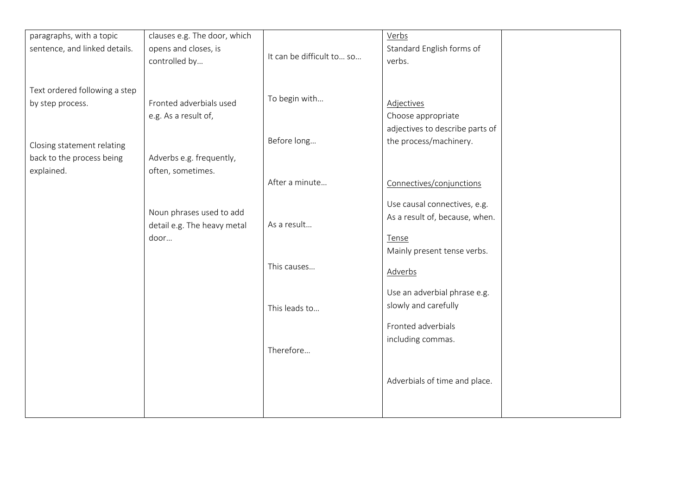| paragraphs, with a topic      | clauses e.g. The door, which |                           | Verbs                           |
|-------------------------------|------------------------------|---------------------------|---------------------------------|
| sentence, and linked details. | opens and closes, is         |                           | Standard English forms of       |
|                               | controlled by                | It can be difficult to so | verbs.                          |
|                               |                              |                           |                                 |
| Text ordered following a step |                              |                           |                                 |
| by step process.              | Fronted adverbials used      | To begin with             | <b>Adjectives</b>               |
|                               | e.g. As a result of,         |                           | Choose appropriate              |
|                               |                              |                           | adjectives to describe parts of |
|                               |                              | Before long               | the process/machinery.          |
| Closing statement relating    |                              |                           |                                 |
| back to the process being     | Adverbs e.g. frequently,     |                           |                                 |
| explained.                    | often, sometimes.            |                           |                                 |
|                               |                              | After a minute            | Connectives/conjunctions        |
|                               |                              |                           | Use causal connectives, e.g.    |
|                               | Noun phrases used to add     |                           |                                 |
|                               | detail e.g. The heavy metal  | As a result               | As a result of, because, when.  |
|                               | door                         |                           | Tense                           |
|                               |                              |                           | Mainly present tense verbs.     |
|                               |                              | This causes               |                                 |
|                               |                              |                           | <b>Adverbs</b>                  |
|                               |                              |                           |                                 |
|                               |                              |                           | Use an adverbial phrase e.g.    |
|                               |                              | This leads to             | slowly and carefully            |
|                               |                              |                           | Fronted adverbials              |
|                               |                              |                           | including commas.               |
|                               |                              | Therefore                 |                                 |
|                               |                              |                           |                                 |
|                               |                              |                           |                                 |
|                               |                              |                           | Adverbials of time and place.   |
|                               |                              |                           |                                 |
|                               |                              |                           |                                 |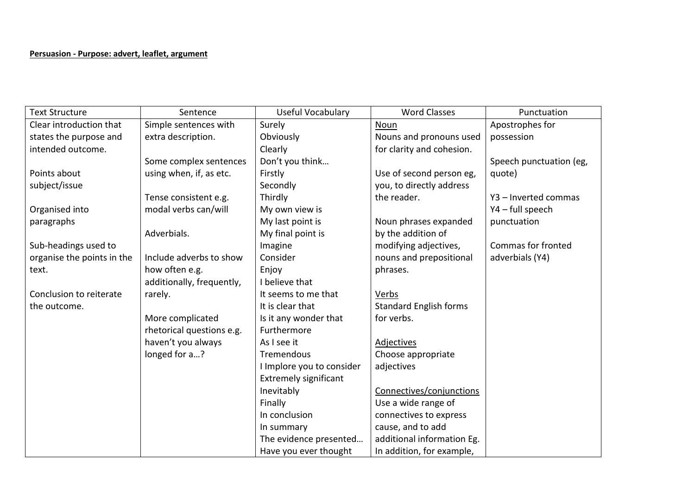#### **Persuasion - Purpose: advert, leaflet, argument**

| <b>Text Structure</b>      | Sentence                  | Useful Vocabulary            | <b>Word Classes</b>           | Punctuation             |
|----------------------------|---------------------------|------------------------------|-------------------------------|-------------------------|
| Clear introduction that    | Simple sentences with     | Surely                       | <b>Noun</b>                   | Apostrophes for         |
| states the purpose and     | extra description.        | Obviously                    | Nouns and pronouns used       | possession              |
| intended outcome.          |                           | Clearly                      | for clarity and cohesion.     |                         |
|                            | Some complex sentences    | Don't you think              |                               | Speech punctuation (eg, |
| Points about               | using when, if, as etc.   | Firstly                      | Use of second person eg,      | quote)                  |
| subject/issue              |                           | Secondly                     | you, to directly address      |                         |
|                            | Tense consistent e.g.     | Thirdly                      | the reader.                   | Y3 - Inverted commas    |
| Organised into             | modal verbs can/will      | My own view is               |                               | Y4 - full speech        |
| paragraphs                 |                           | My last point is             | Noun phrases expanded         | punctuation             |
|                            | Adverbials.               | My final point is            | by the addition of            |                         |
| Sub-headings used to       |                           | Imagine                      | modifying adjectives,         | Commas for fronted      |
| organise the points in the | Include adverbs to show   | Consider                     | nouns and prepositional       | adverbials (Y4)         |
| text.                      | how often e.g.            | Enjoy                        | phrases.                      |                         |
|                            | additionally, frequently, | I believe that               |                               |                         |
| Conclusion to reiterate    | rarely.                   | It seems to me that          | Verbs                         |                         |
| the outcome.               |                           | It is clear that             | <b>Standard English forms</b> |                         |
|                            | More complicated          | Is it any wonder that        | for verbs.                    |                         |
|                            | rhetorical questions e.g. | Furthermore                  |                               |                         |
|                            | haven't you always        | As I see it                  | <b>Adjectives</b>             |                         |
|                            | longed for a?             | Tremendous                   | Choose appropriate            |                         |
|                            |                           | I Implore you to consider    | adjectives                    |                         |
|                            |                           | <b>Extremely significant</b> |                               |                         |
|                            |                           | Inevitably                   | Connectives/conjunctions      |                         |
|                            |                           | Finally                      | Use a wide range of           |                         |
|                            |                           | In conclusion                | connectives to express        |                         |
|                            |                           | In summary                   | cause, and to add             |                         |
|                            |                           | The evidence presented       | additional information Eg.    |                         |
|                            |                           | Have you ever thought        | In addition, for example,     |                         |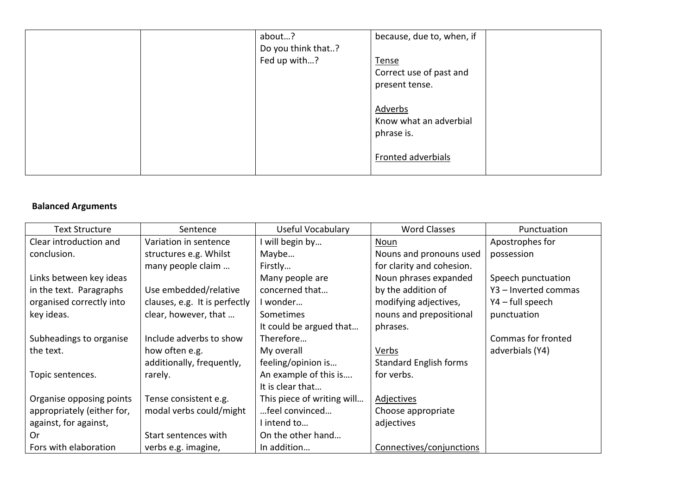|  | about?             | because, due to, when, if |  |
|--|--------------------|---------------------------|--|
|  | Do you think that? |                           |  |
|  | Fed up with?       | <b>Tense</b>              |  |
|  |                    | Correct use of past and   |  |
|  |                    | present tense.            |  |
|  |                    | Adverbs                   |  |
|  |                    | Know what an adverbial    |  |
|  |                    | phrase is.                |  |
|  |                    | Fronted adverbials        |  |

### **Balanced Arguments**

| Text Structure             | Sentence                      | Useful Vocabulary          | <b>Word Classes</b>           | Punctuation          |
|----------------------------|-------------------------------|----------------------------|-------------------------------|----------------------|
| Clear introduction and     | Variation in sentence         | will begin by              | Noun                          | Apostrophes for      |
| conclusion.                | structures e.g. Whilst        | Maybe                      | Nouns and pronouns used       | possession           |
|                            | many people claim             | Firstly                    | for clarity and cohesion.     |                      |
| Links between key ideas    |                               | Many people are            | Noun phrases expanded         | Speech punctuation   |
| in the text. Paragraphs    | Use embedded/relative         | concerned that             | by the addition of            | Y3 - Inverted commas |
| organised correctly into   | clauses, e.g. It is perfectly | I wonder                   | modifying adjectives,         | Y4 - full speech     |
| key ideas.                 | clear, however, that          | Sometimes                  | nouns and prepositional       | punctuation          |
|                            |                               | It could be argued that    | phrases.                      |                      |
| Subheadings to organise    | Include adverbs to show       | Therefore                  |                               | Commas for fronted   |
| the text.                  | how often e.g.                | My overall                 | Verbs                         | adverbials (Y4)      |
|                            | additionally, frequently,     | feeling/opinion is         | <b>Standard English forms</b> |                      |
| Topic sentences.           | rarely.                       | An example of this is      | for verbs.                    |                      |
|                            |                               | It is clear that           |                               |                      |
| Organise opposing points   | Tense consistent e.g.         | This piece of writing will | <b>Adjectives</b>             |                      |
| appropriately (either for, | modal verbs could/might       | feel convinced             | Choose appropriate            |                      |
| against, for against,      |                               | intend to                  | adjectives                    |                      |
| Or                         | Start sentences with          | On the other hand          |                               |                      |
| Fors with elaboration      | verbs e.g. imagine,           | In addition                | Connectives/conjunctions      |                      |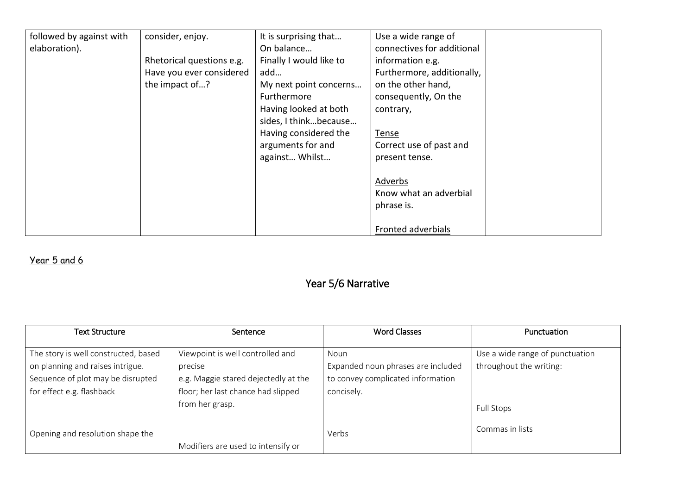| followed by against with | consider, enjoy.          | It is surprising that   | Use a wide range of        |  |
|--------------------------|---------------------------|-------------------------|----------------------------|--|
| elaboration).            |                           | On balance              | connectives for additional |  |
|                          | Rhetorical questions e.g. | Finally I would like to | information e.g.           |  |
|                          | Have you ever considered  | add                     | Furthermore, additionally, |  |
|                          | the impact of?            | My next point concerns  | on the other hand,         |  |
|                          |                           | Furthermore             | consequently, On the       |  |
|                          |                           | Having looked at both   | contrary,                  |  |
|                          |                           | sides, I thinkbecause   |                            |  |
|                          |                           | Having considered the   | <u>Tense</u>               |  |
|                          |                           | arguments for and       | Correct use of past and    |  |
|                          |                           | against Whilst          | present tense.             |  |
|                          |                           |                         |                            |  |
|                          |                           |                         | Adverbs                    |  |
|                          |                           |                         | Know what an adverbial     |  |
|                          |                           |                         | phrase is.                 |  |
|                          |                           |                         |                            |  |
|                          |                           |                         | Fronted adverbials         |  |

### Year 5 and 6

## Year 5/6 Narrative

| <b>Text Structure</b>                                                                                                                      | Sentence                                                                                                                  | <b>Word Classes</b>                                                                           | Punctuation                                                |
|--------------------------------------------------------------------------------------------------------------------------------------------|---------------------------------------------------------------------------------------------------------------------------|-----------------------------------------------------------------------------------------------|------------------------------------------------------------|
| The story is well constructed, based<br>on planning and raises intrigue.<br>Sequence of plot may be disrupted<br>for effect e.g. flashback | Viewpoint is well controlled and<br>precise<br>e.g. Maggie stared dejectedly at the<br>floor; her last chance had slipped | Noun<br>Expanded noun phrases are included<br>to convey complicated information<br>concisely. | Use a wide range of punctuation<br>throughout the writing: |
|                                                                                                                                            | from her grasp.                                                                                                           |                                                                                               | Full Stops                                                 |
| Opening and resolution shape the                                                                                                           |                                                                                                                           | Verbs                                                                                         | Commas in lists                                            |
|                                                                                                                                            | Modifiers are used to intensify or                                                                                        |                                                                                               |                                                            |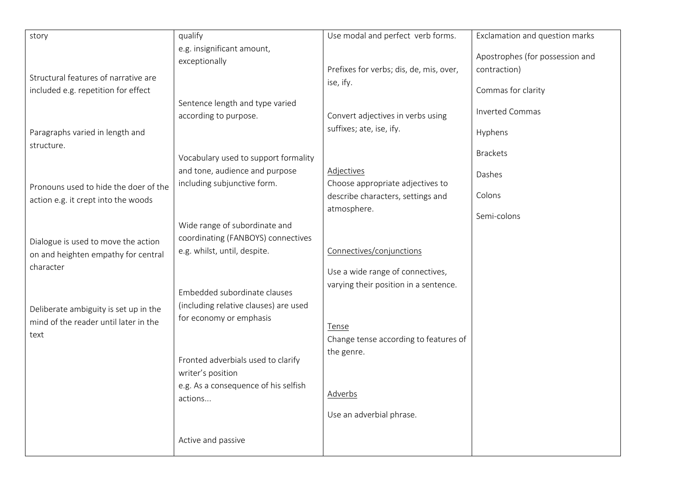| story                                 | qualify                               | Use modal and perfect verb forms.       | Exclamation and question marks  |
|---------------------------------------|---------------------------------------|-----------------------------------------|---------------------------------|
|                                       | e.g. insignificant amount,            |                                         |                                 |
|                                       |                                       |                                         | Apostrophes (for possession and |
|                                       | exceptionally                         | Prefixes for verbs; dis, de, mis, over, | contraction)                    |
| Structural features of narrative are  |                                       | ise, ify.                               |                                 |
| included e.g. repetition for effect   |                                       |                                         | Commas for clarity              |
|                                       | Sentence length and type varied       |                                         |                                 |
|                                       | according to purpose.                 | Convert adjectives in verbs using       | <b>Inverted Commas</b>          |
|                                       |                                       | suffixes; ate, ise, ify.                |                                 |
| Paragraphs varied in length and       |                                       |                                         | Hyphens                         |
| structure.                            |                                       |                                         | <b>Brackets</b>                 |
|                                       | Vocabulary used to support formality  |                                         |                                 |
|                                       | and tone, audience and purpose        | <b>Adjectives</b>                       | Dashes                          |
| Pronouns used to hide the doer of the | including subjunctive form.           | Choose appropriate adjectives to        |                                 |
| action e.g. it crept into the woods   |                                       | describe characters, settings and       | Colons                          |
|                                       |                                       | atmosphere.                             |                                 |
|                                       | Wide range of subordinate and         |                                         | Semi-colons                     |
|                                       | coordinating (FANBOYS) connectives    |                                         |                                 |
| Dialogue is used to move the action   | e.g. whilst, until, despite.          | Connectives/conjunctions                |                                 |
| on and heighten empathy for central   |                                       |                                         |                                 |
| character                             |                                       | Use a wide range of connectives,        |                                 |
|                                       |                                       | varying their position in a sentence.   |                                 |
|                                       | Embedded subordinate clauses          |                                         |                                 |
| Deliberate ambiguity is set up in the | (including relative clauses) are used |                                         |                                 |
| mind of the reader until later in the | for economy or emphasis               |                                         |                                 |
| text                                  |                                       | Tense                                   |                                 |
|                                       |                                       | Change tense according to features of   |                                 |
|                                       | Fronted adverbials used to clarify    | the genre.                              |                                 |
|                                       |                                       |                                         |                                 |
|                                       | writer's position                     |                                         |                                 |
|                                       | e.g. As a consequence of his selfish  | <b>Adverbs</b>                          |                                 |
|                                       | actions                               |                                         |                                 |
|                                       |                                       | Use an adverbial phrase.                |                                 |
|                                       |                                       |                                         |                                 |
|                                       | Active and passive                    |                                         |                                 |
|                                       |                                       |                                         |                                 |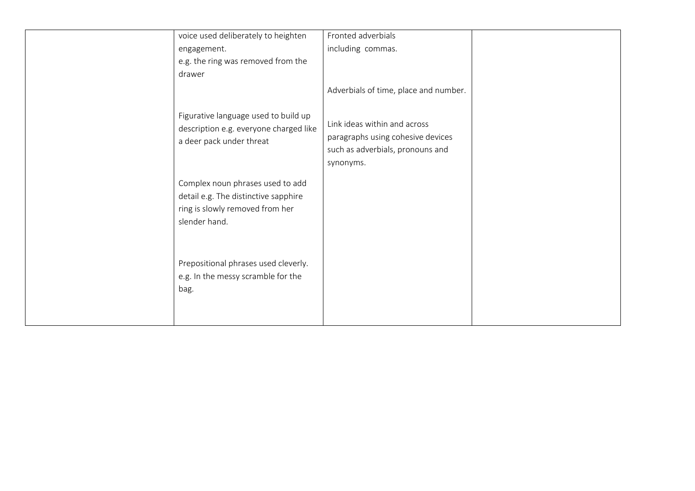| voice used deliberately to heighten                                                                                          | Fronted adverbials                                                                                                 |  |
|------------------------------------------------------------------------------------------------------------------------------|--------------------------------------------------------------------------------------------------------------------|--|
| engagement.                                                                                                                  | including commas.                                                                                                  |  |
| e.g. the ring was removed from the                                                                                           |                                                                                                                    |  |
| drawer                                                                                                                       |                                                                                                                    |  |
|                                                                                                                              | Adverbials of time, place and number.                                                                              |  |
| Figurative language used to build up<br>description e.g. everyone charged like<br>a deer pack under threat                   | Link ideas within and across<br>paragraphs using cohesive devices<br>such as adverbials, pronouns and<br>synonyms. |  |
| Complex noun phrases used to add<br>detail e.g. The distinctive sapphire<br>ring is slowly removed from her<br>slender hand. |                                                                                                                    |  |
| Prepositional phrases used cleverly.<br>e.g. In the messy scramble for the<br>bag.                                           |                                                                                                                    |  |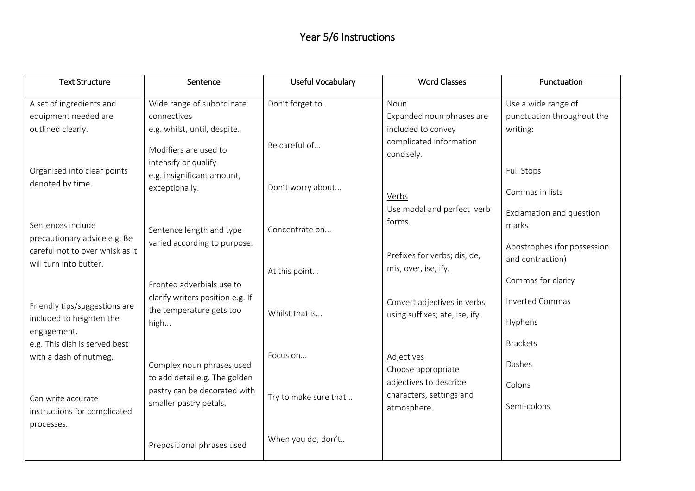### Year 5/6 Instructions

| <b>Text Structure</b>                                                    | Sentence                                                                                          | <b>Useful Vocabulary</b> | <b>Word Classes</b>                                               | Punctuation                                             |
|--------------------------------------------------------------------------|---------------------------------------------------------------------------------------------------|--------------------------|-------------------------------------------------------------------|---------------------------------------------------------|
| A set of ingredients and                                                 | Wide range of subordinate                                                                         | Don't forget to          | Noun                                                              | Use a wide range of                                     |
| equipment needed are                                                     | connectives                                                                                       |                          | Expanded noun phrases are                                         | punctuation throughout the                              |
| outlined clearly.                                                        | e.g. whilst, until, despite.                                                                      |                          | included to convey                                                | writing:                                                |
|                                                                          | Modifiers are used to<br>intensify or qualify                                                     | Be careful of            | complicated information<br>concisely.                             |                                                         |
| Organised into clear points                                              | e.g. insignificant amount,                                                                        |                          |                                                                   | <b>Full Stops</b>                                       |
| denoted by time.                                                         | exceptionally.                                                                                    | Don't worry about        | Verbs                                                             | Commas in lists                                         |
| Sentences include<br>precautionary advice e.g. Be                        | Sentence length and type                                                                          | Concentrate on           | Use modal and perfect verb<br>forms.                              | Exclamation and question<br>marks                       |
| careful not to over whisk as it<br>will turn into butter.                | varied according to purpose.                                                                      | At this point            | Prefixes for verbs; dis, de,<br>mis, over, ise, ify.              | Apostrophes (for possession<br>and contraction)         |
| Friendly tips/suggestions are<br>included to heighten the<br>engagement. | Fronted adverbials use to<br>clarify writers position e.g. If<br>the temperature gets too<br>high | Whilst that is           | Convert adjectives in verbs<br>using suffixes; ate, ise, ify.     | Commas for clarity<br><b>Inverted Commas</b><br>Hyphens |
| e.g. This dish is served best<br>with a dash of nutmeg.                  | Complex noun phrases used                                                                         | Focus on                 | <b>Adjectives</b><br>Choose appropriate                           | <b>Brackets</b><br>Dashes                               |
| Can write accurate<br>instructions for complicated                       | to add detail e.g. The golden<br>pastry can be decorated with<br>smaller pastry petals.           | Try to make sure that    | adjectives to describe<br>characters, settings and<br>atmosphere. | Colons<br>Semi-colons                                   |
| processes.                                                               | Prepositional phrases used                                                                        | When you do, don't       |                                                                   |                                                         |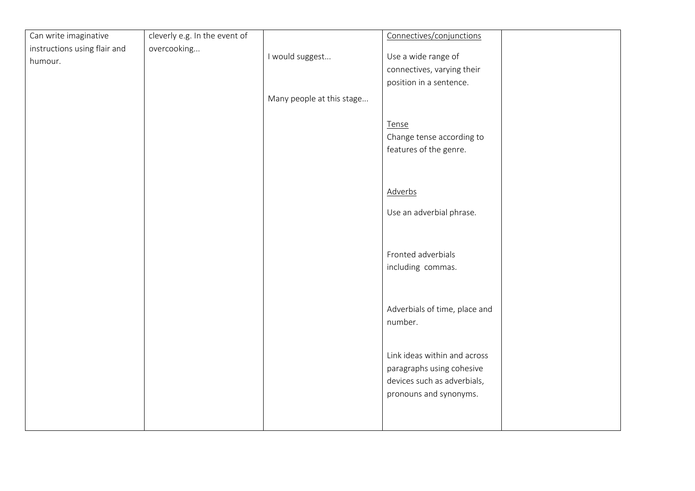| Can write imaginative        | cleverly e.g. In the event of |                           | Connectives/conjunctions      |  |
|------------------------------|-------------------------------|---------------------------|-------------------------------|--|
| instructions using flair and | overcooking                   |                           |                               |  |
| humour.                      |                               | I would suggest           | Use a wide range of           |  |
|                              |                               |                           | connectives, varying their    |  |
|                              |                               |                           | position in a sentence.       |  |
|                              |                               | Many people at this stage |                               |  |
|                              |                               |                           |                               |  |
|                              |                               |                           | Tense                         |  |
|                              |                               |                           | Change tense according to     |  |
|                              |                               |                           | features of the genre.        |  |
|                              |                               |                           |                               |  |
|                              |                               |                           |                               |  |
|                              |                               |                           |                               |  |
|                              |                               |                           | Adverbs                       |  |
|                              |                               |                           | Use an adverbial phrase.      |  |
|                              |                               |                           |                               |  |
|                              |                               |                           |                               |  |
|                              |                               |                           |                               |  |
|                              |                               |                           | Fronted adverbials            |  |
|                              |                               |                           | including commas.             |  |
|                              |                               |                           |                               |  |
|                              |                               |                           |                               |  |
|                              |                               |                           | Adverbials of time, place and |  |
|                              |                               |                           | number.                       |  |
|                              |                               |                           |                               |  |
|                              |                               |                           |                               |  |
|                              |                               |                           | Link ideas within and across  |  |
|                              |                               |                           | paragraphs using cohesive     |  |
|                              |                               |                           | devices such as adverbials,   |  |
|                              |                               |                           | pronouns and synonyms.        |  |
|                              |                               |                           |                               |  |
|                              |                               |                           |                               |  |
|                              |                               |                           |                               |  |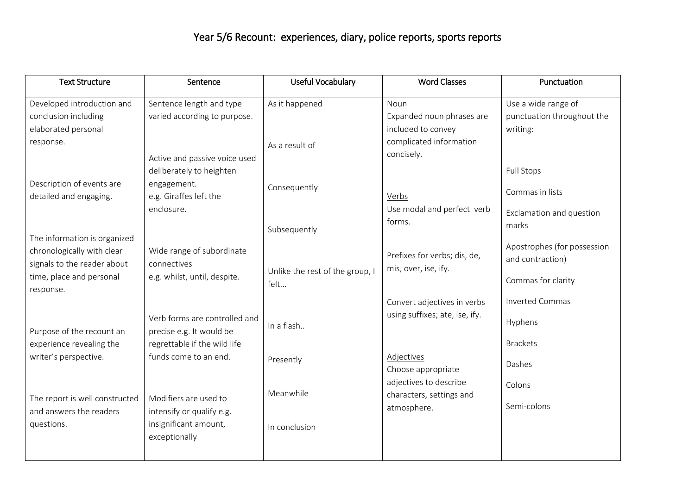## Year 5/6 Recount: experiences, diary, police reports, sports reports

| <b>Text Structure</b>          | Sentence                      | <b>Useful Vocabulary</b>        | <b>Word Classes</b>            | Punctuation                 |
|--------------------------------|-------------------------------|---------------------------------|--------------------------------|-----------------------------|
| Developed introduction and     | Sentence length and type      | As it happened                  | Noun                           | Use a wide range of         |
| conclusion including           | varied according to purpose.  |                                 | Expanded noun phrases are      | punctuation throughout the  |
| elaborated personal            |                               |                                 | included to convey             | writing:                    |
| response.                      |                               | As a result of                  | complicated information        |                             |
|                                | Active and passive voice used |                                 | concisely.                     |                             |
|                                | deliberately to heighten      |                                 |                                | <b>Full Stops</b>           |
| Description of events are      | engagement.                   | Consequently                    |                                |                             |
| detailed and engaging.         | e.g. Giraffes left the        |                                 | Verbs                          | Commas in lists             |
|                                | enclosure.                    |                                 | Use modal and perfect verb     | Exclamation and question    |
|                                |                               | Subsequently                    | forms.                         | marks                       |
| The information is organized   |                               |                                 |                                |                             |
| chronologically with clear     | Wide range of subordinate     |                                 | Prefixes for verbs; dis, de,   | Apostrophes (for possession |
| signals to the reader about    | connectives                   | Unlike the rest of the group, I | mis, over, ise, ify.           | and contraction)            |
| time, place and personal       | e.g. whilst, until, despite.  | felt                            |                                | Commas for clarity          |
| response.                      |                               |                                 |                                |                             |
|                                |                               |                                 | Convert adjectives in verbs    | <b>Inverted Commas</b>      |
|                                | Verb forms are controlled and | In a flash                      | using suffixes; ate, ise, ify. | Hyphens                     |
| Purpose of the recount an      | precise e.g. It would be      |                                 |                                |                             |
| experience revealing the       | regrettable if the wild life  |                                 |                                | <b>Brackets</b>             |
| writer's perspective.          | funds come to an end.         | Presently                       | Adjectives                     | Dashes                      |
|                                |                               |                                 | Choose appropriate             |                             |
|                                |                               | Meanwhile                       | adjectives to describe         | Colons                      |
| The report is well constructed | Modifiers are used to         |                                 | characters, settings and       | Semi-colons                 |
| and answers the readers        | intensify or qualify e.g.     |                                 | atmosphere.                    |                             |
| questions.                     | insignificant amount,         | In conclusion                   |                                |                             |
|                                | exceptionally                 |                                 |                                |                             |
|                                |                               |                                 |                                |                             |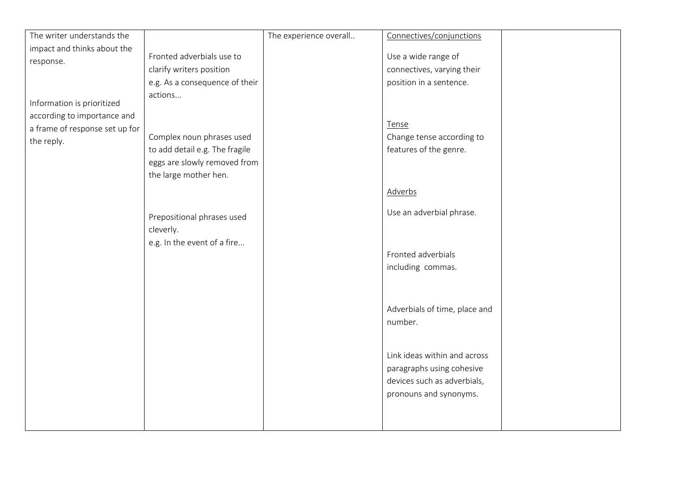| The writer understands the                                                                                |                                                                                                                                                                                                                                             | The experience overall | Connectives/conjunctions                                                                                                                                                  |  |
|-----------------------------------------------------------------------------------------------------------|---------------------------------------------------------------------------------------------------------------------------------------------------------------------------------------------------------------------------------------------|------------------------|---------------------------------------------------------------------------------------------------------------------------------------------------------------------------|--|
| impact and thinks about the                                                                               |                                                                                                                                                                                                                                             |                        |                                                                                                                                                                           |  |
| response.                                                                                                 | Fronted adverbials use to                                                                                                                                                                                                                   |                        | Use a wide range of                                                                                                                                                       |  |
|                                                                                                           | clarify writers position                                                                                                                                                                                                                    |                        | connectives, varying their                                                                                                                                                |  |
|                                                                                                           |                                                                                                                                                                                                                                             |                        |                                                                                                                                                                           |  |
| Information is prioritized<br>according to importance and<br>a frame of response set up for<br>the reply. | e.g. As a consequence of their<br>actions<br>Complex noun phrases used<br>to add detail e.g. The fragile<br>eggs are slowly removed from<br>the large mother hen.<br>Prepositional phrases used<br>cleverly.<br>e.g. In the event of a fire |                        | position in a sentence.<br>Tense<br>Change tense according to<br>features of the genre.<br>Adverbs<br>Use an adverbial phrase.<br>Fronted adverbials<br>including commas. |  |
|                                                                                                           |                                                                                                                                                                                                                                             |                        | Adverbials of time, place and<br>number.                                                                                                                                  |  |
|                                                                                                           |                                                                                                                                                                                                                                             |                        | Link ideas within and across<br>paragraphs using cohesive<br>devices such as adverbials,<br>pronouns and synonyms.                                                        |  |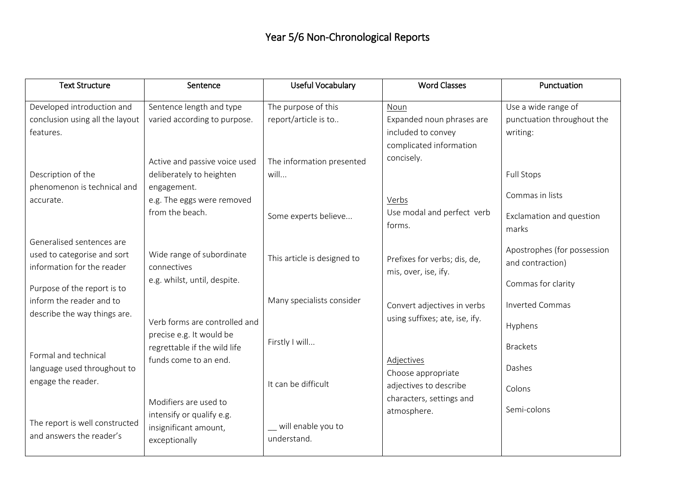| <b>Text Structure</b>           | Sentence                      | <b>Useful Vocabulary</b>    | <b>Word Classes</b>            | Punctuation                 |
|---------------------------------|-------------------------------|-----------------------------|--------------------------------|-----------------------------|
| Developed introduction and      | Sentence length and type      | The purpose of this         | Noun                           | Use a wide range of         |
| conclusion using all the layout | varied according to purpose.  | report/article is to        | Expanded noun phrases are      | punctuation throughout the  |
| features.                       |                               |                             | included to convey             | writing:                    |
|                                 |                               |                             | complicated information        |                             |
|                                 | Active and passive voice used | The information presented   | concisely.                     |                             |
| Description of the              | deliberately to heighten      | will                        |                                | <b>Full Stops</b>           |
| phenomenon is technical and     | engagement.                   |                             |                                |                             |
| accurate.                       | e.g. The eggs were removed    |                             | Verbs                          | Commas in lists             |
|                                 | from the beach.               | Some experts believe        | Use modal and perfect verb     | Exclamation and question    |
|                                 |                               |                             | forms.                         | marks                       |
| Generalised sentences are       |                               |                             |                                |                             |
| used to categorise and sort     | Wide range of subordinate     | This article is designed to |                                | Apostrophes (for possession |
| information for the reader      | connectives                   |                             | Prefixes for verbs; dis, de,   | and contraction)            |
|                                 | e.g. whilst, until, despite.  |                             | mis, over, ise, ify.           | Commas for clarity          |
| Purpose of the report is to     |                               |                             |                                |                             |
| inform the reader and to        |                               | Many specialists consider   | Convert adjectives in verbs    | <b>Inverted Commas</b>      |
| describe the way things are.    | Verb forms are controlled and |                             | using suffixes; ate, ise, ify. |                             |
|                                 | precise e.g. It would be      |                             |                                | Hyphens                     |
|                                 | regrettable if the wild life  | Firstly I will              |                                | <b>Brackets</b>             |
| Formal and technical            | funds come to an end.         |                             | Adjectives                     |                             |
| language used throughout to     |                               |                             | Choose appropriate             | Dashes                      |
| engage the reader.              |                               | It can be difficult         | adjectives to describe         | Colons                      |
|                                 | Modifiers are used to         |                             | characters, settings and       |                             |
|                                 | intensify or qualify e.g.     |                             | atmosphere.                    | Semi-colons                 |
| The report is well constructed  | insignificant amount,         | _ will enable you to        |                                |                             |
| and answers the reader's        | exceptionally                 | understand.                 |                                |                             |
|                                 |                               |                             |                                |                             |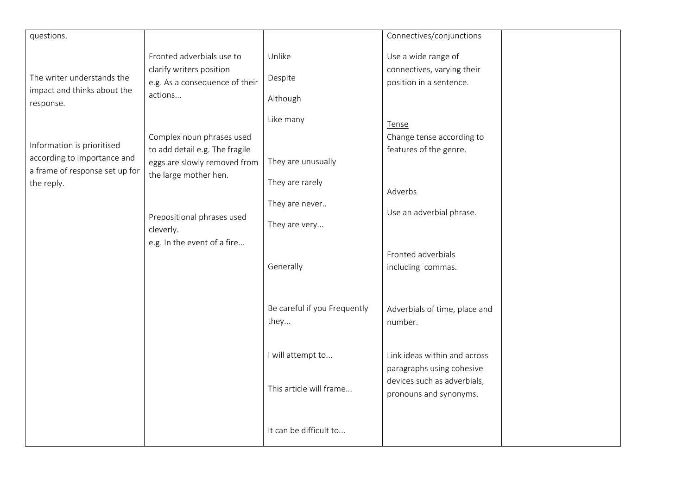| questions.                                                                                                |                                                                                                                                                                                                |                                                                                       | Connectives/conjunctions                                                                                           |
|-----------------------------------------------------------------------------------------------------------|------------------------------------------------------------------------------------------------------------------------------------------------------------------------------------------------|---------------------------------------------------------------------------------------|--------------------------------------------------------------------------------------------------------------------|
| The writer understands the<br>impact and thinks about the<br>response.                                    | Fronted adverbials use to<br>clarify writers position<br>e.g. As a consequence of their<br>actions                                                                                             | Unlike<br>Despite<br>Although                                                         | Use a wide range of<br>connectives, varying their<br>position in a sentence.                                       |
| Information is prioritised<br>according to importance and<br>a frame of response set up for<br>the reply. | Complex noun phrases used<br>to add detail e.g. The fragile<br>eggs are slowly removed from<br>the large mother hen.<br>Prepositional phrases used<br>cleverly.<br>e.g. In the event of a fire | Like many<br>They are unusually<br>They are rarely<br>They are never<br>They are very | Tense<br>Change tense according to<br>features of the genre.<br>Adverbs<br>Use an adverbial phrase.                |
|                                                                                                           |                                                                                                                                                                                                | Generally                                                                             | Fronted adverbials<br>including commas.                                                                            |
|                                                                                                           |                                                                                                                                                                                                | Be careful if you Frequently<br>they                                                  | Adverbials of time, place and<br>number.                                                                           |
|                                                                                                           |                                                                                                                                                                                                | I will attempt to<br>This article will frame                                          | Link ideas within and across<br>paragraphs using cohesive<br>devices such as adverbials,<br>pronouns and synonyms. |
|                                                                                                           |                                                                                                                                                                                                | It can be difficult to                                                                |                                                                                                                    |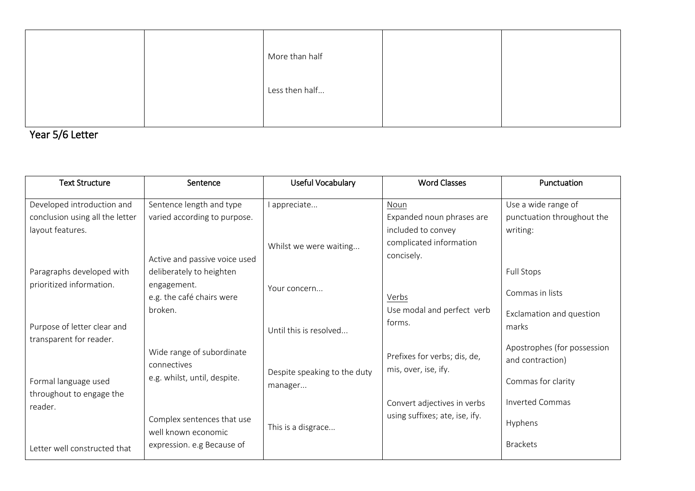|  | More than half |  |
|--|----------------|--|
|  | Less then half |  |
|  |                |  |

Year 5/6 Letter

| <b>Text Structure</b>                            | Sentence                                          | Useful Vocabulary                       | <b>Word Classes</b>                                  | Punctuation                                     |
|--------------------------------------------------|---------------------------------------------------|-----------------------------------------|------------------------------------------------------|-------------------------------------------------|
| Developed introduction and                       | Sentence length and type                          | l appreciate                            | Noun                                                 | Use a wide range of                             |
| conclusion using all the letter                  | varied according to purpose.                      |                                         | Expanded noun phrases are                            | punctuation throughout the                      |
| layout features.                                 |                                                   |                                         | included to convey                                   | writing:                                        |
|                                                  |                                                   | Whilst we were waiting                  | complicated information                              |                                                 |
|                                                  | Active and passive voice used                     |                                         | concisely.                                           |                                                 |
| Paragraphs developed with                        | deliberately to heighten                          |                                         |                                                      | <b>Full Stops</b>                               |
| prioritized information.                         | engagement.<br>e.g. the café chairs were          | Your concern                            | Verbs                                                | Commas in lists                                 |
|                                                  | broken.                                           |                                         | Use modal and perfect verb                           | Exclamation and question                        |
| Purpose of letter clear and                      |                                                   | Until this is resolved                  | forms.                                               | marks                                           |
| transparent for reader.                          |                                                   |                                         |                                                      |                                                 |
|                                                  | Wide range of subordinate<br>connectives          |                                         | Prefixes for verbs; dis, de,<br>mis, over, ise, ify. | Apostrophes (for possession<br>and contraction) |
| Formal language used<br>throughout to engage the | e.g. whilst, until, despite.                      | Despite speaking to the duty<br>manager |                                                      | Commas for clarity                              |
| reader.                                          |                                                   |                                         | Convert adjectives in verbs                          | <b>Inverted Commas</b>                          |
|                                                  | Complex sentences that use<br>well known economic | This is a disgrace                      | using suffixes; ate, ise, ify.                       | Hyphens                                         |
| Letter well constructed that                     | expression. e.g Because of                        |                                         |                                                      | <b>Brackets</b>                                 |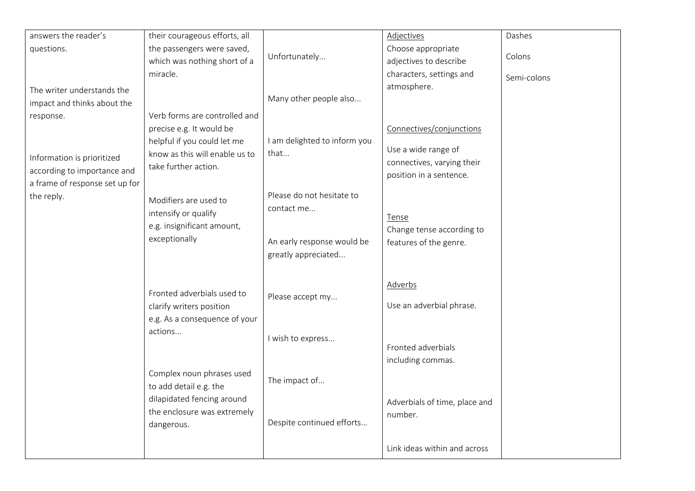| answers the reader's           | their courageous efforts, all  |                              | Adjectives                                            | Dashes      |
|--------------------------------|--------------------------------|------------------------------|-------------------------------------------------------|-------------|
| questions.                     | the passengers were saved,     |                              | Choose appropriate                                    |             |
|                                | which was nothing short of a   | Unfortunately                | adjectives to describe                                | Colons      |
|                                | miracle.                       |                              | characters, settings and                              | Semi-colons |
| The writer understands the     |                                |                              | atmosphere.                                           |             |
| impact and thinks about the    |                                | Many other people also       |                                                       |             |
| response.                      | Verb forms are controlled and  |                              |                                                       |             |
|                                | precise e.g. It would be       |                              | Connectives/conjunctions                              |             |
|                                | helpful if you could let me    | I am delighted to inform you |                                                       |             |
| Information is prioritized     | know as this will enable us to | that                         | Use a wide range of                                   |             |
| according to importance and    | take further action.           |                              | connectives, varying their<br>position in a sentence. |             |
| a frame of response set up for |                                |                              |                                                       |             |
| the reply.                     | Modifiers are used to          | Please do not hesitate to    |                                                       |             |
|                                | intensify or qualify           | contact me                   |                                                       |             |
|                                | e.g. insignificant amount,     |                              | Tense                                                 |             |
|                                | exceptionally                  | An early response would be   | Change tense according to                             |             |
|                                |                                | greatly appreciated          | features of the genre.                                |             |
|                                |                                |                              |                                                       |             |
|                                |                                |                              |                                                       |             |
|                                | Fronted adverbials used to     |                              | <b>Adverbs</b>                                        |             |
|                                | clarify writers position       | Please accept my             | Use an adverbial phrase.                              |             |
|                                | e.g. As a consequence of your  |                              |                                                       |             |
|                                | actions                        |                              |                                                       |             |
|                                |                                | I wish to express            | Fronted adverbials                                    |             |
|                                |                                |                              | including commas.                                     |             |
|                                | Complex noun phrases used      |                              |                                                       |             |
|                                | to add detail e.g. the         | The impact of                |                                                       |             |
|                                | dilapidated fencing around     |                              |                                                       |             |
|                                | the enclosure was extremely    |                              | Adverbials of time, place and<br>number.              |             |
|                                | dangerous.                     | Despite continued efforts    |                                                       |             |
|                                |                                |                              |                                                       |             |
|                                |                                |                              | Link ideas within and across                          |             |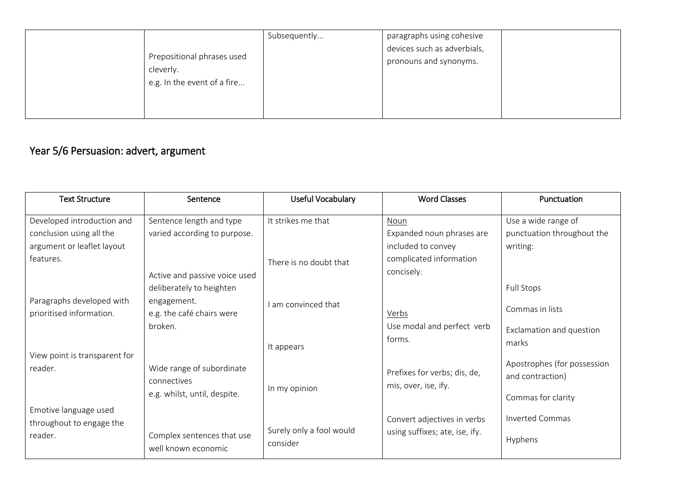| Prepositional phrases used<br>cleverly.<br>e.g. In the event of a fire | Subsequently | paragraphs using cohesive<br>devices such as adverbials,<br>pronouns and synonyms. |
|------------------------------------------------------------------------|--------------|------------------------------------------------------------------------------------|
|------------------------------------------------------------------------|--------------|------------------------------------------------------------------------------------|

## Year 5/6 Persuasion: advert, argument

| <b>Text Structure</b>         | Sentence                      | Useful Vocabulary        | <b>Word Classes</b>            | Punctuation                 |
|-------------------------------|-------------------------------|--------------------------|--------------------------------|-----------------------------|
| Developed introduction and    | Sentence length and type      | It strikes me that       | Noun                           | Use a wide range of         |
| conclusion using all the      | varied according to purpose.  |                          | Expanded noun phrases are      | punctuation throughout the  |
| argument or leaflet layout    |                               |                          | included to convey             | writing:                    |
| features.                     |                               | There is no doubt that   | complicated information        |                             |
|                               | Active and passive voice used |                          | concisely.                     |                             |
|                               | deliberately to heighten      |                          |                                | <b>Full Stops</b>           |
| Paragraphs developed with     | engagement.                   | I am convinced that      |                                | Commas in lists             |
| prioritised information.      | e.g. the café chairs were     |                          | Verbs                          |                             |
|                               | broken.                       |                          | Use modal and perfect verb     | Exclamation and question    |
|                               |                               | It appears               | forms.                         | marks                       |
| View point is transparent for |                               |                          |                                |                             |
| reader.                       | Wide range of subordinate     |                          | Prefixes for verbs; dis, de,   | Apostrophes (for possession |
|                               | connectives                   |                          | mis, over, ise, ify.           | and contraction)            |
|                               | e.g. whilst, until, despite.  | In my opinion            |                                | Commas for clarity          |
| Emotive language used         |                               |                          |                                |                             |
| throughout to engage the      |                               |                          | Convert adjectives in verbs    | <b>Inverted Commas</b>      |
| reader.                       | Complex sentences that use    | Surely only a fool would | using suffixes; ate, ise, ify. | Hyphens                     |
|                               | well known economic           | consider                 |                                |                             |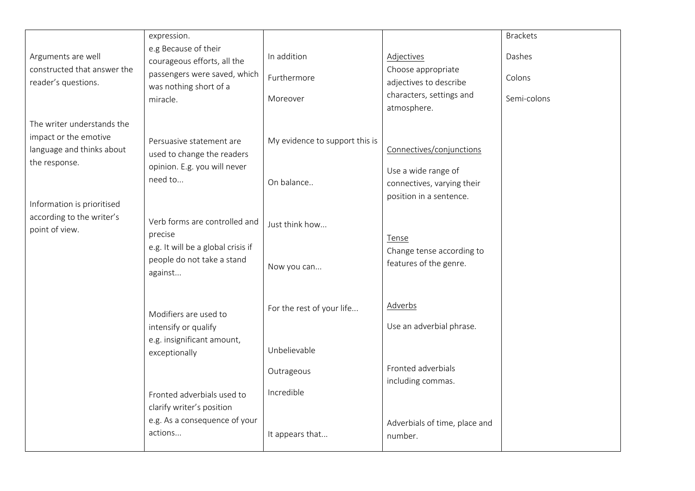|                                                                           | expression.                                                |                                |                                                       | <b>Brackets</b> |
|---------------------------------------------------------------------------|------------------------------------------------------------|--------------------------------|-------------------------------------------------------|-----------------|
| Arguments are well                                                        | e.g Because of their<br>courageous efforts, all the        | In addition                    | Adjectives                                            | Dashes          |
| constructed that answer the<br>reader's questions.                        | passengers were saved, which<br>was nothing short of a     | Furthermore                    | Choose appropriate<br>adjectives to describe          | Colons          |
|                                                                           | miracle.                                                   | Moreover                       | characters, settings and<br>atmosphere.               | Semi-colons     |
| The writer understands the<br>impact or the emotive                       |                                                            |                                |                                                       |                 |
| language and thinks about                                                 | Persuasive statement are<br>used to change the readers     | My evidence to support this is | Connectives/conjunctions                              |                 |
| the response.                                                             | opinion. E.g. you will never<br>need to                    | On balance                     | Use a wide range of                                   |                 |
|                                                                           |                                                            |                                | connectives, varying their<br>position in a sentence. |                 |
| Information is prioritised<br>according to the writer's<br>point of view. | Verb forms are controlled and<br>precise                   | Just think how                 |                                                       |                 |
|                                                                           | e.g. It will be a global crisis if                         |                                | Tense<br>Change tense according to                    |                 |
|                                                                           | people do not take a stand<br>against                      | Now you can                    | features of the genre.                                |                 |
|                                                                           |                                                            | For the rest of your life      | <b>Adverbs</b>                                        |                 |
|                                                                           | Modifiers are used to<br>intensify or qualify              |                                | Use an adverbial phrase.                              |                 |
|                                                                           | e.g. insignificant amount,<br>exceptionally                | Unbelievable                   |                                                       |                 |
|                                                                           |                                                            | Outrageous                     | Fronted adverbials<br>including commas.               |                 |
|                                                                           | Fronted adverbials used to                                 | Incredible                     |                                                       |                 |
|                                                                           | clarify writer's position<br>e.g. As a consequence of your |                                | Adverbials of time, place and                         |                 |
|                                                                           | actions                                                    | It appears that                | number.                                               |                 |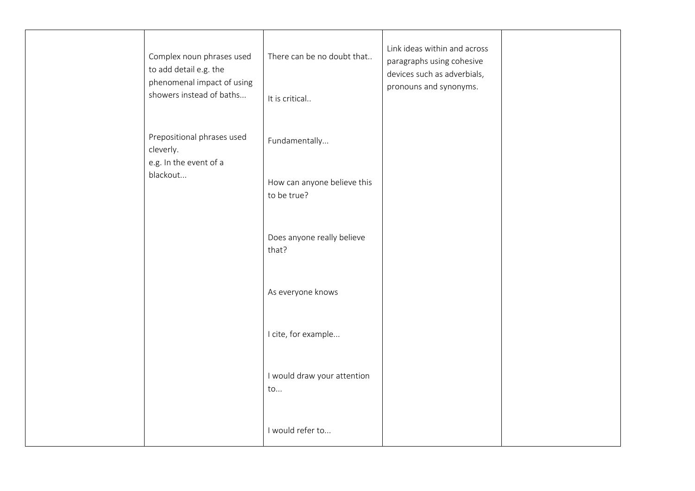| Complex noun phrases used<br>to add detail e.g. the<br>phenomenal impact of using | There can be no doubt that                   | Link ideas within and across<br>paragraphs using cohesive<br>devices such as adverbials,<br>pronouns and synonyms. |  |
|-----------------------------------------------------------------------------------|----------------------------------------------|--------------------------------------------------------------------------------------------------------------------|--|
| showers instead of baths                                                          | It is critical                               |                                                                                                                    |  |
| Prepositional phrases used<br>cleverly.<br>e.g. In the event of a                 | Fundamentally                                |                                                                                                                    |  |
| blackout                                                                          | How can anyone believe this<br>to be true?   |                                                                                                                    |  |
|                                                                                   | Does anyone really believe<br>that?          |                                                                                                                    |  |
|                                                                                   | As everyone knows                            |                                                                                                                    |  |
|                                                                                   | I cite, for example                          |                                                                                                                    |  |
|                                                                                   | I would draw your attention<br>$\mathsf{to}$ |                                                                                                                    |  |
|                                                                                   | I would refer to                             |                                                                                                                    |  |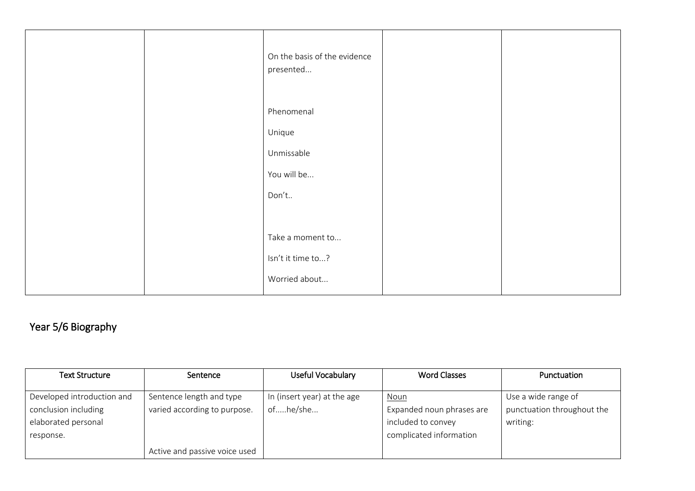| On the basis of the evidence<br>presented |
|-------------------------------------------|
| Phenomenal                                |
| Unique                                    |
| Unmissable                                |
| You will be                               |
| Don't                                     |
|                                           |
| Take a moment to                          |
| Isn't it time to?                         |
| Worried about                             |

# Year 5/6 Biography

| <b>Text Structure</b>      | Sentence                      | Useful Vocabulary           | <b>Word Classes</b>       | Punctuation                |
|----------------------------|-------------------------------|-----------------------------|---------------------------|----------------------------|
|                            |                               |                             |                           |                            |
| Developed introduction and | Sentence length and type      | In (insert year) at the age | <u>Noun</u>               | Use a wide range of        |
| conclusion including       | varied according to purpose.  | ofhe/she                    | Expanded noun phrases are | punctuation throughout the |
| elaborated personal        |                               |                             | included to convey        | writing:                   |
| response.                  |                               |                             | complicated information   |                            |
|                            | Active and passive voice used |                             |                           |                            |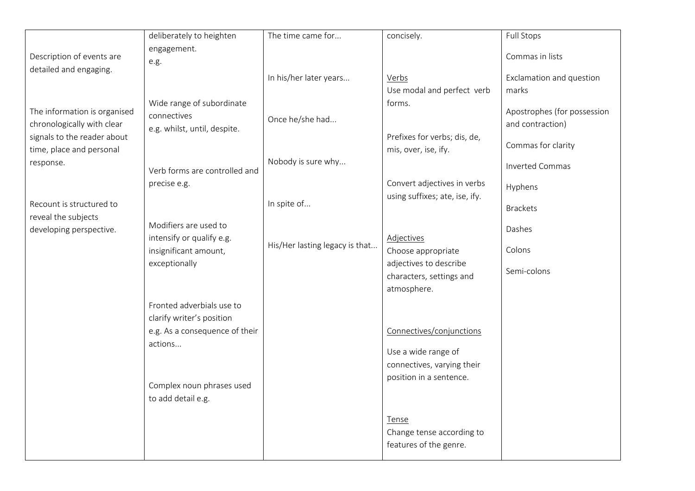|                                                                                                                                    | deliberately to heighten                                                                                  | The time came for                     | concisely.                                                                                    | <b>Full Stops</b>                                                                               |
|------------------------------------------------------------------------------------------------------------------------------------|-----------------------------------------------------------------------------------------------------------|---------------------------------------|-----------------------------------------------------------------------------------------------|-------------------------------------------------------------------------------------------------|
|                                                                                                                                    | engagement.                                                                                               |                                       |                                                                                               |                                                                                                 |
| Description of events are<br>detailed and engaging.                                                                                | e.g.                                                                                                      |                                       |                                                                                               | Commas in lists                                                                                 |
|                                                                                                                                    |                                                                                                           | In his/her later years                | Verbs                                                                                         | Exclamation and question                                                                        |
|                                                                                                                                    |                                                                                                           |                                       | Use modal and perfect verb                                                                    | marks                                                                                           |
| The information is organised<br>chronologically with clear<br>signals to the reader about<br>time, place and personal<br>response. | Wide range of subordinate<br>connectives<br>e.g. whilst, until, despite.<br>Verb forms are controlled and | Once he/she had<br>Nobody is sure why | forms.<br>Prefixes for verbs; dis, de,<br>mis, over, ise, ify.<br>Convert adjectives in verbs | Apostrophes (for possession<br>and contraction)<br>Commas for clarity<br><b>Inverted Commas</b> |
|                                                                                                                                    | precise e.g.                                                                                              |                                       | using suffixes; ate, ise, ify.                                                                | Hyphens                                                                                         |
| Recount is structured to                                                                                                           |                                                                                                           | In spite of                           |                                                                                               | <b>Brackets</b>                                                                                 |
| reveal the subjects<br>developing perspective.                                                                                     | Modifiers are used to<br>intensify or qualify e.g.                                                        |                                       | Adjectives                                                                                    | Dashes                                                                                          |
|                                                                                                                                    | insignificant amount,                                                                                     | His/Her lasting legacy is that        | Choose appropriate                                                                            | Colons                                                                                          |
|                                                                                                                                    | exceptionally                                                                                             |                                       | adjectives to describe<br>characters, settings and<br>atmosphere.                             | Semi-colons                                                                                     |
|                                                                                                                                    | Fronted adverbials use to                                                                                 |                                       |                                                                                               |                                                                                                 |
|                                                                                                                                    | clarify writer's position                                                                                 |                                       |                                                                                               |                                                                                                 |
|                                                                                                                                    | e.g. As a consequence of their                                                                            |                                       | Connectives/conjunctions                                                                      |                                                                                                 |
|                                                                                                                                    | actions                                                                                                   |                                       | Use a wide range of<br>connectives, varying their                                             |                                                                                                 |
|                                                                                                                                    | Complex noun phrases used                                                                                 |                                       | position in a sentence.                                                                       |                                                                                                 |
|                                                                                                                                    | to add detail e.g.                                                                                        |                                       |                                                                                               |                                                                                                 |
|                                                                                                                                    |                                                                                                           |                                       | Tense<br>Change tense according to<br>features of the genre.                                  |                                                                                                 |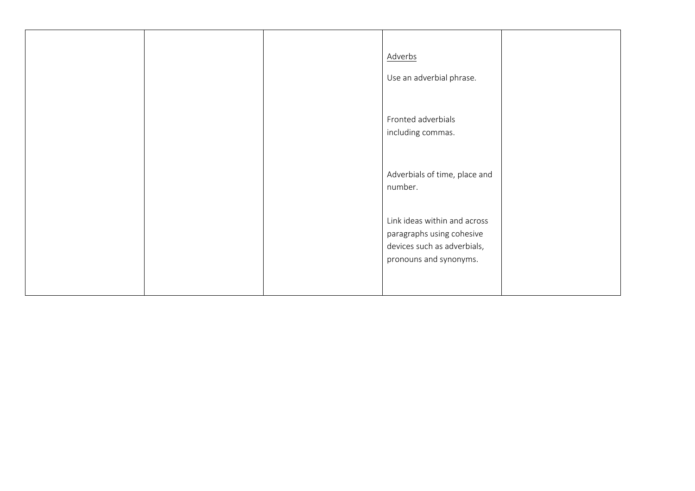|  | Adverbs<br>Use an adverbial phrase.                                                                                |  |
|--|--------------------------------------------------------------------------------------------------------------------|--|
|  | Fronted adverbials<br>including commas.                                                                            |  |
|  | Adverbials of time, place and<br>number.                                                                           |  |
|  | Link ideas within and across<br>paragraphs using cohesive<br>devices such as adverbials,<br>pronouns and synonyms. |  |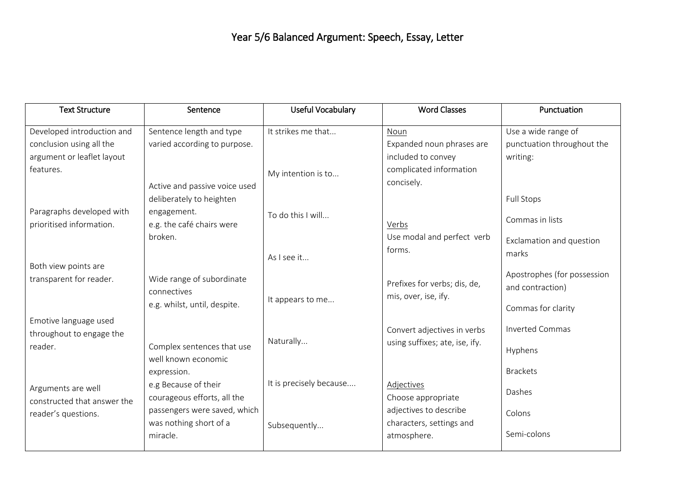| <b>Text Structure</b>                                 | Sentence                                               | Useful Vocabulary       | <b>Word Classes</b>                                | Punctuation                                     |
|-------------------------------------------------------|--------------------------------------------------------|-------------------------|----------------------------------------------------|-------------------------------------------------|
| Developed introduction and                            | Sentence length and type                               | It strikes me that      | Noun                                               | Use a wide range of                             |
| conclusion using all the                              | varied according to purpose.                           |                         | Expanded noun phrases are                          | punctuation throughout the                      |
| argument or leaflet layout                            |                                                        |                         | included to convey                                 | writing:                                        |
| features.                                             |                                                        | My intention is to      | complicated information                            |                                                 |
|                                                       | Active and passive voice used                          |                         | concisely.                                         |                                                 |
|                                                       | deliberately to heighten                               |                         |                                                    | Full Stops                                      |
| Paragraphs developed with<br>prioritised information. | engagement.<br>e.g. the café chairs were               | To do this I will       | Verbs                                              | Commas in lists                                 |
|                                                       | broken.                                                | As I see it             | Use modal and perfect verb<br>forms.               | Exclamation and question<br>marks               |
| Both view points are                                  |                                                        |                         |                                                    |                                                 |
| transparent for reader.                               | Wide range of subordinate<br>connectives               |                         | Prefixes for verbs; dis, de,                       | Apostrophes (for possession<br>and contraction) |
|                                                       | e.g. whilst, until, despite.                           | It appears to me        | mis, over, ise, ify.                               | Commas for clarity                              |
| Emotive language used<br>throughout to engage the     |                                                        |                         | Convert adjectives in verbs                        | <b>Inverted Commas</b>                          |
| reader.                                               | Complex sentences that use<br>well known economic      | Naturally               | using suffixes; ate, ise, ify.                     | Hyphens                                         |
|                                                       | expression.                                            |                         |                                                    | <b>Brackets</b>                                 |
| Arguments are well<br>constructed that answer the     | e.g Because of their<br>courageous efforts, all the    | It is precisely because | Adjectives<br>Choose appropriate                   | Dashes                                          |
| reader's questions.                                   | passengers were saved, which<br>was nothing short of a |                         | adjectives to describe<br>characters, settings and | Colons                                          |
|                                                       | miracle.                                               | Subsequently            | atmosphere.                                        | Semi-colons                                     |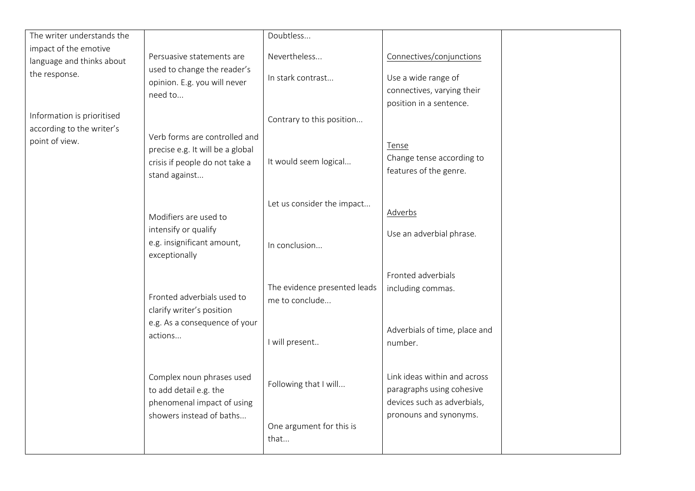| The writer understands the |                                                          | Doubtless                    |                               |  |
|----------------------------|----------------------------------------------------------|------------------------------|-------------------------------|--|
| impact of the emotive      |                                                          | Nevertheless                 |                               |  |
| language and thinks about  | Persuasive statements are<br>used to change the reader's |                              | Connectives/conjunctions      |  |
| the response.              | opinion. E.g. you will never                             | In stark contrast            | Use a wide range of           |  |
|                            | need to                                                  |                              | connectives, varying their    |  |
|                            |                                                          |                              | position in a sentence.       |  |
| Information is prioritised |                                                          | Contrary to this position    |                               |  |
| according to the writer's  | Verb forms are controlled and                            |                              |                               |  |
| point of view.             | precise e.g. It will be a global                         |                              | Tense                         |  |
|                            | crisis if people do not take a                           | It would seem logical        | Change tense according to     |  |
|                            | stand against                                            |                              | features of the genre.        |  |
|                            |                                                          |                              |                               |  |
|                            |                                                          | Let us consider the impact   |                               |  |
|                            | Modifiers are used to                                    |                              | Adverbs                       |  |
|                            | intensify or qualify                                     |                              | Use an adverbial phrase.      |  |
|                            | e.g. insignificant amount,                               | In conclusion                |                               |  |
|                            | exceptionally                                            |                              |                               |  |
|                            |                                                          |                              | Fronted adverbials            |  |
|                            |                                                          | The evidence presented leads | including commas.             |  |
|                            | Fronted adverbials used to                               | me to conclude               |                               |  |
|                            | clarify writer's position                                |                              |                               |  |
|                            | e.g. As a consequence of your<br>actions                 |                              | Adverbials of time, place and |  |
|                            |                                                          | I will present               | number.                       |  |
|                            |                                                          |                              |                               |  |
|                            | Complex noun phrases used                                |                              | Link ideas within and across  |  |
|                            | to add detail e.g. the                                   | Following that I will        | paragraphs using cohesive     |  |
|                            | phenomenal impact of using                               |                              | devices such as adverbials,   |  |
|                            | showers instead of baths                                 |                              | pronouns and synonyms.        |  |
|                            |                                                          | One argument for this is     |                               |  |
|                            |                                                          | that                         |                               |  |
|                            |                                                          |                              |                               |  |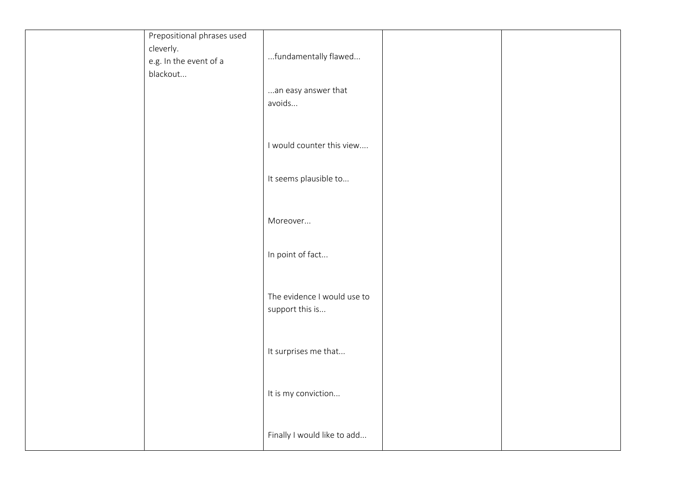| Prepositional phrases used |                             |  |
|----------------------------|-----------------------------|--|
| cleverly.                  |                             |  |
| e.g. In the event of a     | fundamentally flawed        |  |
| blackout                   |                             |  |
|                            | an easy answer that         |  |
|                            | avoids                      |  |
|                            |                             |  |
|                            |                             |  |
|                            | I would counter this view   |  |
|                            |                             |  |
|                            |                             |  |
|                            | It seems plausible to       |  |
|                            |                             |  |
|                            |                             |  |
|                            | Moreover                    |  |
|                            |                             |  |
|                            |                             |  |
|                            | In point of fact            |  |
|                            |                             |  |
|                            |                             |  |
|                            | The evidence I would use to |  |
|                            | support this is             |  |
|                            |                             |  |
|                            |                             |  |
|                            | It surprises me that        |  |
|                            |                             |  |
|                            |                             |  |
|                            | It is my conviction         |  |
|                            |                             |  |
|                            |                             |  |
|                            | Finally I would like to add |  |
|                            |                             |  |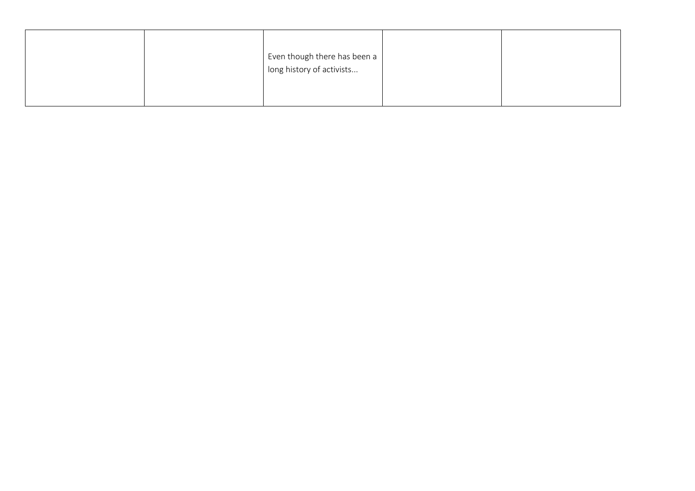|  | Even though there has been a<br>long history of activists |  |
|--|-----------------------------------------------------------|--|
|  |                                                           |  |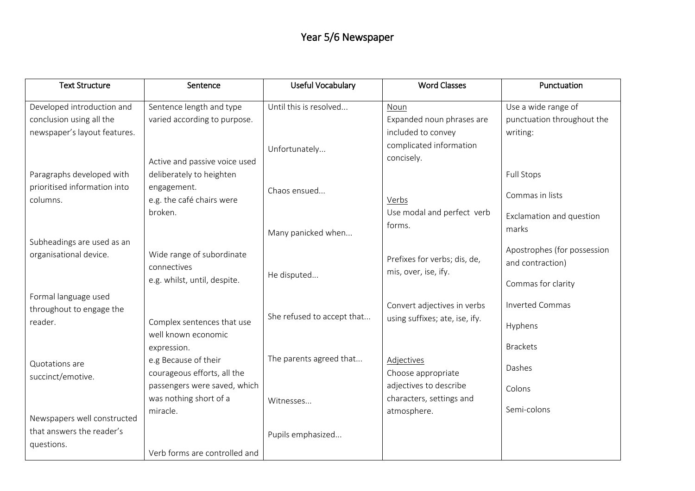# Year 5/6 Newspaper

| <b>Text Structure</b>        | Sentence                      | <b>Useful Vocabulary</b>   | <b>Word Classes</b>            | Punctuation                 |
|------------------------------|-------------------------------|----------------------------|--------------------------------|-----------------------------|
| Developed introduction and   | Sentence length and type      | Until this is resolved     | Noun                           | Use a wide range of         |
| conclusion using all the     | varied according to purpose.  |                            | Expanded noun phrases are      | punctuation throughout the  |
| newspaper's layout features. |                               |                            | included to convey             | writing:                    |
|                              |                               | Unfortunately              | complicated information        |                             |
|                              | Active and passive voice used |                            | concisely.                     |                             |
| Paragraphs developed with    | deliberately to heighten      |                            |                                | <b>Full Stops</b>           |
| prioritised information into | engagement.                   |                            |                                |                             |
| columns.                     | e.g. the café chairs were     | Chaos ensued               | Verbs                          | Commas in lists             |
|                              | broken.                       |                            | Use modal and perfect verb     |                             |
|                              |                               |                            | forms.                         | Exclamation and question    |
|                              |                               | Many panicked when         |                                | marks                       |
| Subheadings are used as an   |                               |                            |                                | Apostrophes (for possession |
| organisational device.       | Wide range of subordinate     |                            | Prefixes for verbs; dis, de,   | and contraction)            |
|                              | connectives                   | He disputed                | mis, over, ise, ify.           |                             |
|                              | e.g. whilst, until, despite.  |                            |                                | Commas for clarity          |
| Formal language used         |                               |                            |                                |                             |
| throughout to engage the     |                               |                            | Convert adjectives in verbs    | <b>Inverted Commas</b>      |
| reader.                      | Complex sentences that use    | She refused to accept that | using suffixes; ate, ise, ify. | Hyphens                     |
|                              | well known economic           |                            |                                |                             |
|                              | expression.                   |                            |                                | <b>Brackets</b>             |
| Quotations are               | e.g Because of their          | The parents agreed that    | Adjectives                     | Dashes                      |
| succinct/emotive.            | courageous efforts, all the   |                            | Choose appropriate             |                             |
|                              | passengers were saved, which  |                            | adjectives to describe         | Colons                      |
|                              | was nothing short of a        | Witnesses                  | characters, settings and       |                             |
|                              | miracle.                      |                            | atmosphere.                    | Semi-colons                 |
| Newspapers well constructed  |                               |                            |                                |                             |
| that answers the reader's    |                               | Pupils emphasized          |                                |                             |
| questions.                   | Verb forms are controlled and |                            |                                |                             |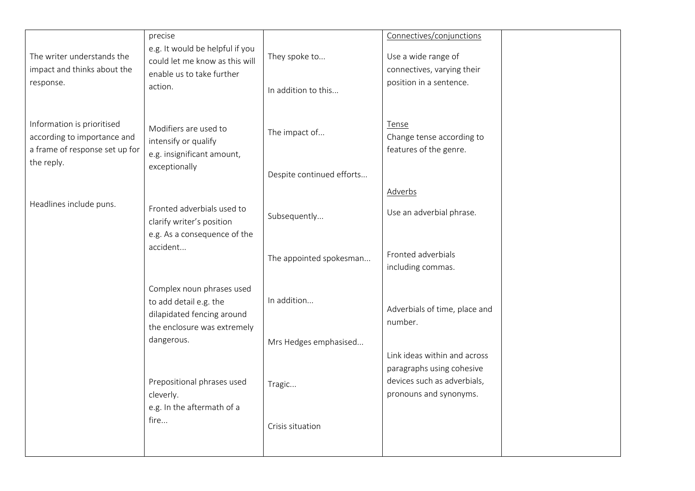| The writer understands the<br>impact and thinks about the<br>response.                                    | precise<br>e.g. It would be helpful if you<br>could let me know as this will<br>enable us to take further<br>action. | They spoke to<br>In addition to this       | Connectives/conjunctions<br>Use a wide range of<br>connectives, varying their<br>position in a sentence.           |
|-----------------------------------------------------------------------------------------------------------|----------------------------------------------------------------------------------------------------------------------|--------------------------------------------|--------------------------------------------------------------------------------------------------------------------|
| Information is prioritised<br>according to importance and<br>a frame of response set up for<br>the reply. | Modifiers are used to<br>intensify or qualify<br>e.g. insignificant amount,<br>exceptionally                         | The impact of<br>Despite continued efforts | Tense<br>Change tense according to<br>features of the genre.                                                       |
|                                                                                                           |                                                                                                                      |                                            | Adverbs                                                                                                            |
| Headlines include puns.                                                                                   | Fronted adverbials used to<br>clarify writer's position<br>e.g. As a consequence of the                              | Subsequently                               | Use an adverbial phrase.                                                                                           |
|                                                                                                           | accident                                                                                                             | The appointed spokesman                    | Fronted adverbials<br>including commas.                                                                            |
|                                                                                                           | Complex noun phrases used<br>to add detail e.g. the<br>dilapidated fencing around<br>the enclosure was extremely     | In addition                                | Adverbials of time, place and<br>number.                                                                           |
|                                                                                                           | dangerous.                                                                                                           | Mrs Hedges emphasised                      |                                                                                                                    |
|                                                                                                           | Prepositional phrases used<br>cleverly.<br>e.g. In the aftermath of a<br>fire                                        | Tragic<br>Crisis situation                 | Link ideas within and across<br>paragraphs using cohesive<br>devices such as adverbials,<br>pronouns and synonyms. |
|                                                                                                           |                                                                                                                      |                                            |                                                                                                                    |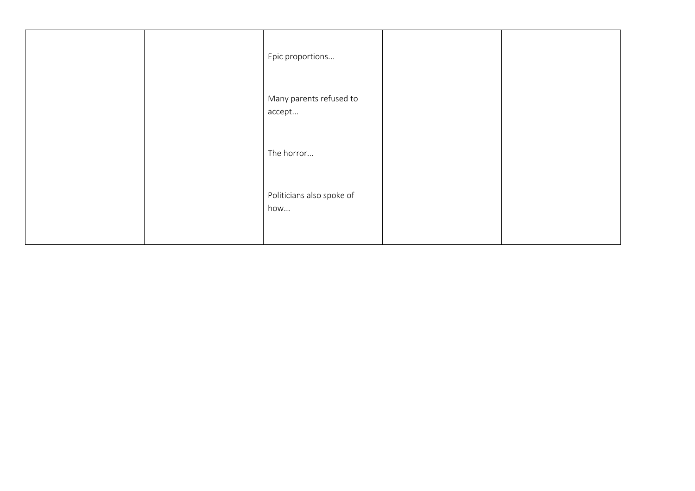|  | Epic proportions                  |  |
|--|-----------------------------------|--|
|  | Many parents refused to<br>accept |  |
|  | The horror                        |  |
|  | Politicians also spoke of<br>how  |  |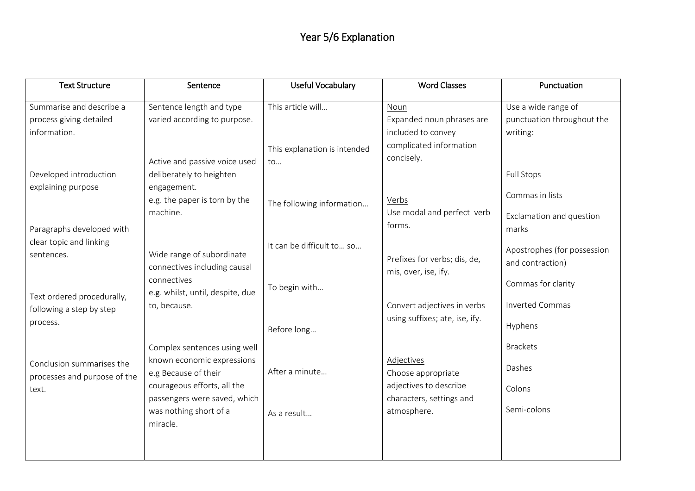## Year 5/6 Explanation

| <b>Text Structure</b>                                              | Sentence                                                                              | Useful Vocabulary                  | <b>Word Classes</b>                                               | Punctuation                                              |
|--------------------------------------------------------------------|---------------------------------------------------------------------------------------|------------------------------------|-------------------------------------------------------------------|----------------------------------------------------------|
| Summarise and describe a<br>process giving detailed                | Sentence length and type<br>varied according to purpose.                              | This article will                  | <b>Noun</b><br>Expanded noun phrases are                          | Use a wide range of<br>punctuation throughout the        |
| information.<br>Developed introduction                             | Active and passive voice used<br>deliberately to heighten                             | This explanation is intended<br>to | included to convey<br>complicated information<br>concisely.       | writing:<br><b>Full Stops</b>                            |
| explaining purpose                                                 | engagement.<br>e.g. the paper is torn by the<br>machine.                              | The following information          | Verbs<br>Use modal and perfect verb<br>forms.                     | Commas in lists<br>Exclamation and question              |
| Paragraphs developed with<br>clear topic and linking<br>sentences. | Wide range of subordinate<br>connectives including causal                             | It can be difficult to so          | Prefixes for verbs; dis, de,<br>mis, over, ise, ify.              | marks<br>Apostrophes (for possession<br>and contraction) |
| Text ordered procedurally,<br>following a step by step             | connectives<br>e.g. whilst, until, despite, due<br>to, because.                       | To begin with                      | Convert adjectives in verbs                                       | Commas for clarity<br><b>Inverted Commas</b>             |
| process.                                                           |                                                                                       | Before long                        | using suffixes; ate, ise, ify.                                    | Hyphens                                                  |
| Conclusion summarises the<br>processes and purpose of the          | Complex sentences using well<br>known economic expressions<br>e.g Because of their    | After a minute                     | Adjectives<br>Choose appropriate                                  | <b>Brackets</b><br>Dashes                                |
| text.                                                              | courageous efforts, all the<br>passengers were saved, which<br>was nothing short of a | As a result                        | adjectives to describe<br>characters, settings and<br>atmosphere. | Colons<br>Semi-colons                                    |
|                                                                    | miracle.                                                                              |                                    |                                                                   |                                                          |